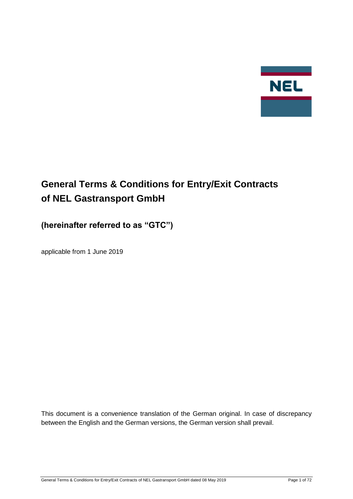

# **General Terms & Conditions for Entry/Exit Contracts of NEL Gastransport GmbH**

## **(hereinafter referred to as "GTC")**

applicable from 1 June 2019

This document is a convenience translation of the German original. In case of discrepancy between the English and the German versions, the German version shall prevail.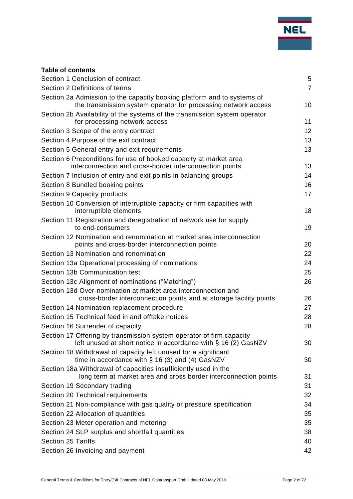## **Table of contents**

| Section 1 Conclusion of contract                                                                                                          | 5              |
|-------------------------------------------------------------------------------------------------------------------------------------------|----------------|
| Section 2 Definitions of terms                                                                                                            | $\overline{7}$ |
| Section 2a Admission to the capacity booking platform and to systems of<br>the transmission system operator for processing network access | 10             |
| Section 2b Availability of the systems of the transmission system operator<br>for processing network access                               | 11             |
| Section 3 Scope of the entry contract                                                                                                     | 12             |
| Section 4 Purpose of the exit contract                                                                                                    | 13             |
| Section 5 General entry and exit requirements                                                                                             | 13             |
| Section 6 Preconditions for use of booked capacity at market area<br>interconnection and cross-border interconnection points              | 13             |
| Section 7 Inclusion of entry and exit points in balancing groups                                                                          | 14             |
| Section 8 Bundled booking points                                                                                                          | 16             |
| Section 9 Capacity products                                                                                                               | 17             |
| Section 10 Conversion of interruptible capacity or firm capacities with<br>interruptible elements                                         | 18             |
| Section 11 Registration and deregistration of network use for supply<br>to end-consumers                                                  | 19             |
| Section 12 Nomination and renomination at market area interconnection<br>points and cross-border interconnection points                   | 20             |
| Section 13 Nomination and renomination                                                                                                    | 22             |
| Section 13a Operational processing of nominations                                                                                         | 24             |
| Section 13b Communication test                                                                                                            | 25             |
| Section 13c Alignment of nominations ("Matching")                                                                                         | 26             |
| Section 13d Over-nomination at market area interconnection and<br>cross-border interconnection points and at storage facility points      | 26             |
| Section 14 Nomination replacement procedure                                                                                               | 27             |
| Section 15 Technical feed in and offtake notices                                                                                          | 28             |
| Section 16 Surrender of capacity                                                                                                          | 28             |
| Section 17 Offering by transmission system operator of firm capacity<br>left unused at short notice in accordance with § 16 (2) GasNZV    | 30             |
| Section 18 Withdrawal of capacity left unused for a significant<br>time in accordance with $\S$ 16 (3) and (4) GasNZV                     | 30             |
| Section 18a Withdrawal of capacities insufficiently used in the<br>long term at market area and cross border interconnection points       | 31             |
| Section 19 Secondary trading                                                                                                              | 31             |
| Section 20 Technical requirements                                                                                                         | 32             |
| Section 21 Non-compliance with gas quality or pressure specification                                                                      | 34             |
| Section 22 Allocation of quantities                                                                                                       | 35             |
| Section 23 Meter operation and metering                                                                                                   | 35             |
| Section 24 SLP surplus and shortfall quantities                                                                                           | 38             |
| <b>Section 25 Tariffs</b>                                                                                                                 | 40             |
| Section 26 Invoicing and payment                                                                                                          | 42             |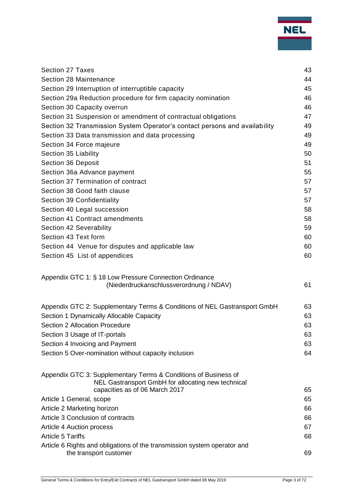| <b>Section 27 Taxes</b>                                                    | 43 |
|----------------------------------------------------------------------------|----|
| Section 28 Maintenance                                                     | 44 |
| Section 29 Interruption of interruptible capacity                          | 45 |
| Section 29a Reduction procedure for firm capacity nomination               | 46 |
| Section 30 Capacity overrun                                                | 46 |
| Section 31 Suspension or amendment of contractual obligations              | 47 |
| Section 32 Transmission System Operator's contact persons and availability | 49 |
| Section 33 Data transmission and data processing                           | 49 |
| Section 34 Force majeure                                                   | 49 |
| Section 35 Liability                                                       | 50 |
| Section 36 Deposit                                                         | 51 |
| Section 36a Advance payment                                                | 55 |
| Section 37 Termination of contract                                         | 57 |
| Section 38 Good faith clause                                               | 57 |
| Section 39 Confidentiality                                                 | 57 |
| Section 40 Legal succession                                                | 58 |
| Section 41 Contract amendments                                             | 58 |
| Section 42 Severability                                                    | 59 |
| Section 43 Text form                                                       | 60 |
| Section 44 Venue for disputes and applicable law                           | 60 |
| Section 45 List of appendices                                              | 60 |
|                                                                            |    |
| Appendix GTC 1: § 18 Low Pressure Connection Ordinance                     |    |
| (Niederdruckanschlussverordnung / NDAV)                                    | 61 |
|                                                                            |    |
| Appendix GTC 2: Supplementary Terms & Conditions of NEL Gastransport GmbH  | 63 |
| Section 1 Dynamically Allocable Capacity                                   | 63 |
| <b>Section 2 Allocation Procedure</b>                                      | 63 |
| Section 3 Usage of IT-portals                                              | 63 |
| Section 4 Invoicing and Payment                                            | 63 |
| Section 5 Over-nomination without capacity inclusion                       | 64 |
|                                                                            |    |
| Appendix GTC 3: Supplementary Terms & Conditions of Business of            |    |
| NEL Gastransport GmbH for allocating new technical                         |    |
| capacities as of 06 March 2017                                             | 65 |
| Article 1 General, scope                                                   | 65 |
| Article 2 Marketing horizon                                                | 66 |
| Article 3 Conclusion of contracts                                          | 66 |
| Article 4 Auction process                                                  | 67 |
| <b>Article 5 Tariffs</b>                                                   | 68 |
| Article 6 Rights and obligations of the transmission system operator and   |    |
| the transport customer                                                     | 69 |
|                                                                            |    |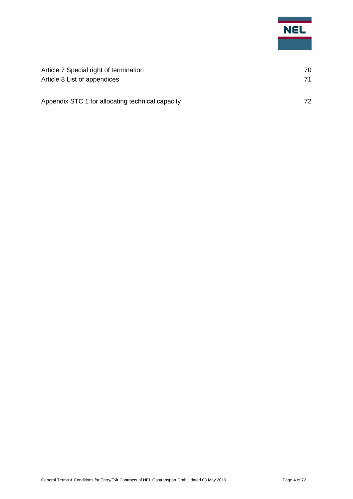

| Article 7 Special right of termination           | 70 |
|--------------------------------------------------|----|
| Article 8 List of appendices                     | 71 |
| Appendix STC 1 for allocating technical capacity | 72 |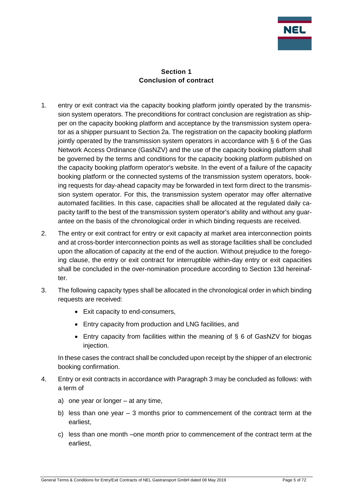

### **Section 1 Conclusion of contract**

- <span id="page-4-0"></span>1. entry or exit contract via the capacity booking platform jointly operated by the transmission system operators. The preconditions for contract conclusion are registration as shipper on the capacity booking platform and acceptance by the transmission system operator as a shipper pursuant to Section 2a. The registration on the capacity booking platform jointly operated by the transmission system operators in accordance with § 6 of the Gas Network Access Ordinance (GasNZV) and the use of the capacity booking platform shall be governed by the terms and conditions for the capacity booking platform published on the capacity booking platform operator's website. In the event of a failure of the capacity booking platform or the connected systems of the transmission system operators, booking requests for day-ahead capacity may be forwarded in text form direct to the transmission system operator. For this, the transmission system operator may offer alternative automated facilities. In this case, capacities shall be allocated at the regulated daily capacity tariff to the best of the transmission system operator's ability and without any guarantee on the basis of the chronological order in which binding requests are received.
- 2. The entry or exit contract for entry or exit capacity at market area interconnection points and at cross-border interconnection points as well as storage facilities shall be concluded upon the allocation of capacity at the end of the auction. Without prejudice to the foregoing clause, the entry or exit contract for interruptible within-day entry or exit capacities shall be concluded in the over-nomination procedure according to Section 13d hereinafter.
- 3. The following capacity types shall be allocated in the chronological order in which binding requests are received:
	- Exit capacity to end-consumers,
	- Entry capacity from production and LNG facilities, and
	- Entry capacity from facilities within the meaning of § 6 of GasNZV for biogas injection.

In these cases the contract shall be concluded upon receipt by the shipper of an electronic booking confirmation.

- 4. Entry or exit contracts in accordance with Paragraph 3 may be concluded as follows: with a term of
	- a) one year or longer at any time,
	- b) less than one year 3 months prior to commencement of the contract term at the earliest,
	- c) less than one month –one month prior to commencement of the contract term at the earliest,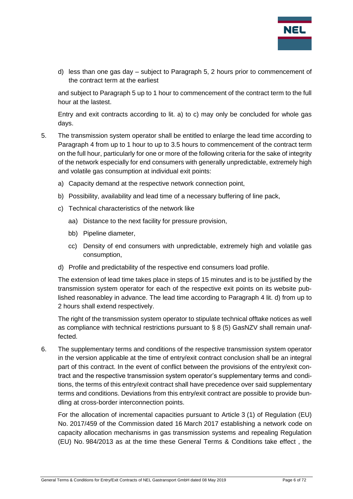

d) less than one gas day – subject to Paragraph 5, 2 hours prior to commencement of the contract term at the earliest

and subject to Paragraph 5 up to 1 hour to commencement of the contract term to the full hour at the lastest.

Entry and exit contracts according to lit. a) to c) may only be concluded for whole gas days.

- 5. The transmission system operator shall be entitled to enlarge the lead time according to Paragraph 4 from up to 1 hour to up to 3.5 hours to commencement of the contract term on the full hour, particularly for one or more of the following criteria for the sake of integrity of the network especially for end consumers with generally unpredictable, extremely high and volatile gas consumption at individual exit points:
	- a) Capacity demand at the respective network connection point,
	- b) Possibility, availability and lead time of a necessary buffering of line pack,
	- c) Technical characteristics of the network like
		- aa) Distance to the next facility for pressure provision,
		- bb) Pipeline diameter,
		- cc) Density of end consumers with unpredictable, extremely high and volatile gas consumption,
	- d) Profile and predictability of the respective end consumers load profile.

The extension of lead time takes place in steps of 15 minutes and is to be justified by the transmission system operator for each of the respective exit points on its website published reasonabley in advance. The lead time according to Paragraph 4 lit. d) from up to 2 hours shall extend respectively.

The right of the transmission system operator to stipulate technical offtake notices as well as compliance with technical restrictions pursuant to  $\S 8 (5)$  GasNZV shall remain unaffected.

6. The supplementary terms and conditions of the respective transmission system operator in the version applicable at the time of entry/exit contract conclusion shall be an integral part of this contract. In the event of conflict between the provisions of the entry/exit contract and the respective transmission system operator's supplementary terms and conditions, the terms of this entry/exit contract shall have precedence over said supplementary terms and conditions. Deviations from this entry/exit contract are possible to provide bundling at cross-border interconnection points.

For the allocation of incremental capacities pursuant to Article 3 (1) of Regulation (EU) No. 2017/459 of the Commission dated 16 March 2017 establishing a network code on capacity allocation mechanisms in gas transmission systems and repealing Regulation (EU) No. 984/2013 as at the time these General Terms & Conditions take effect , the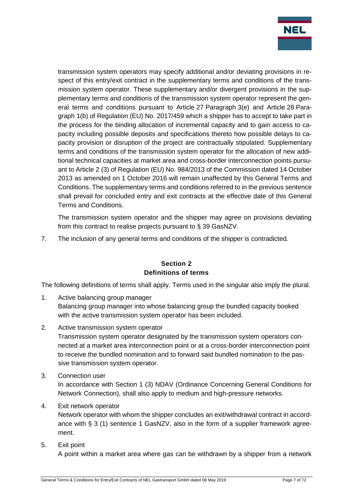

transmission system operators may specify additional and/or deviating provisions in respect of this entry/exit contract in the supplementary terms and conditions of the transmission system operator. These supplementary and/or divergent provisions in the supplementary terms and conditions of the transmission system operator represent the general terms and conditions pursuant to Article 27 Paragraph 3(e) and Article 28 Paragraph 1(b) of Regulation (EU) No. 2017/459 which a shipper has to accept to take part in the process for the binding allocation of incremental capacity and to gain access to capacity including possible deposits and specifications thereto how possible delays to capacity provision or disruption of the project are contractually stipulated. Supplementary terms and conditions of the transmission system operator for the allocation of new additional technical capacities at market area and cross-border interconnection points pursuant to Article 2 (3) of Regulation (EU) No. 984/2013 of the Commission dated 14 October 2013 as amended on 1 October 2016 will remain unaffected by this General Terms and Conditions. The supplementary terms and conditions referred to in the previous sentence shall prevail for concluded entry and exit contracts at the effective date of this General Terms and Conditions.

The transmission system operator and the shipper may agree on provisions deviating from this contract to realise projects pursuant to § 39 GasNZV.

7. The inclusion of any general terms and conditions of the shipper is contradicted.

#### **Section 2 Definitions of terms**

<span id="page-6-0"></span>The following definitions of terms shall apply. Terms used in the singular also imply the plural.

- 1. Active balancing group manager Balancing group manager into whose balancing group the bundled capacity booked with the active transmission system operator has been included.
- 2. Active transmission system operator

Transmission system operator designated by the transmission system operators connected at a market area interconnection point or at a cross-border interconnection point to receive the bundled nomination and to forward said bundled nomination to the passive transmission system operator.

3. Connection user

In accordance with Section 1 (3) NDAV (Ordinance Concerning General Conditions for Network Connection), shall also apply to medium and high-pressure networks.

#### 4. Exit network operator

Network operator with whom the shipper concludes an exit/withdrawal contract in accordance with § 3 (1) sentence 1 GasNZV, also in the form of a supplier framework agreement.

5. Exit point

A point within a market area where gas can be withdrawn by a shipper from a network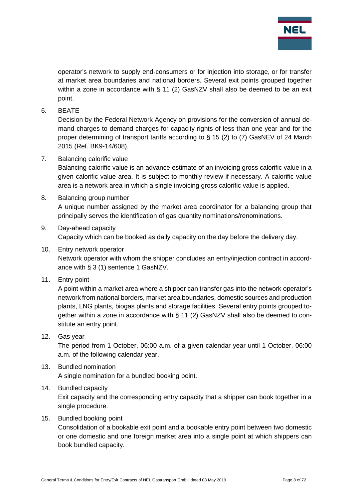

operator's network to supply end-consumers or for injection into storage, or for transfer at market area boundaries and national borders. Several exit points grouped together within a zone in accordance with § 11 (2) GasNZV shall also be deemed to be an exit point.

6. BEATE

Decision by the Federal Network Agency on provisions for the conversion of annual demand charges to demand charges for capacity rights of less than one year and for the proper determining of transport tariffs according to § 15 (2) to (7) GasNEV of 24 March 2015 (Ref. BK9-14/608).

7. Balancing calorific value

Balancing calorific value is an advance estimate of an invoicing gross calorific value in a given calorific value area. It is subject to monthly review if necessary. A calorific value area is a network area in which a single invoicing gross calorific value is applied.

#### 8. Balancing group number

A unique number assigned by the market area coordinator for a balancing group that principally serves the identification of gas quantity nominations/renominations.

- 9. Day-ahead capacity Capacity which can be booked as daily capacity on the day before the delivery day.
- 10. Entry network operator Network operator with whom the shipper concludes an entry/injection contract in accordance with § 3 (1) sentence 1 GasNZV.
- 11. Entry point

A point within a market area where a shipper can transfer gas into the network operator's network from national borders, market area boundaries, domestic sources and production plants, LNG plants, biogas plants and storage facilities. Several entry points grouped together within a zone in accordance with § 11 (2) GasNZV shall also be deemed to constitute an entry point.

12. Gas year

The period from 1 October, 06:00 a.m. of a given calendar year until 1 October, 06:00 a.m. of the following calendar year.

#### 13. Bundled nomination

A single nomination for a bundled booking point.

#### 14. Bundled capacity

Exit capacity and the corresponding entry capacity that a shipper can book together in a single procedure.

15. Bundled booking point

Consolidation of a bookable exit point and a bookable entry point between two domestic or one domestic and one foreign market area into a single point at which shippers can book bundled capacity.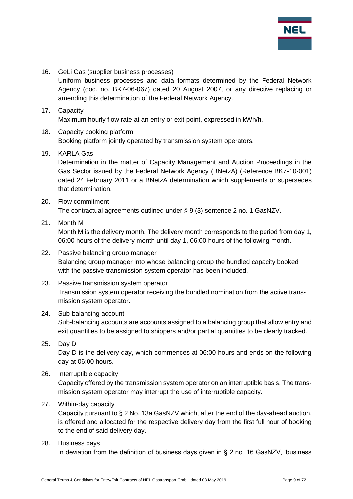

16. GeLi Gas (supplier business processes)

Uniform business processes and data formats determined by the Federal Network Agency (doc. no. BK7-06-067) dated 20 August 2007, or any directive replacing or amending this determination of the Federal Network Agency.

## 17. Capacity

Maximum hourly flow rate at an entry or exit point, expressed in kWh/h.

#### 18. Capacity booking platform Booking platform jointly operated by transmission system operators.

#### 19. KARLA Gas

Determination in the matter of Capacity Management and Auction Proceedings in the Gas Sector issued by the Federal Network Agency (BNetzA) (Reference BK7-10-001) dated 24 February 2011 or a BNetzA determination which supplements or supersedes that determination.

#### 20. Flow commitment The contractual agreements outlined under § 9 (3) sentence 2 no. 1 GasNZV.

- 21. Month M Month M is the delivery month. The delivery month corresponds to the period from day 1, 06:00 hours of the delivery month until day 1, 06:00 hours of the following month.
- 22. Passive balancing group manager Balancing group manager into whose balancing group the bundled capacity booked with the passive transmission system operator has been included.
- 23. Passive transmission system operator Transmission system operator receiving the bundled nomination from the active transmission system operator.

#### 24. Sub-balancing account Sub-balancing accounts are accounts assigned to a balancing group that allow entry and exit quantities to be assigned to shippers and/or partial quantities to be clearly tracked.

- 25. Day D Day D is the delivery day, which commences at 06:00 hours and ends on the following day at 06:00 hours.
- 26. Interruptible capacity

Capacity offered by the transmission system operator on an interruptible basis. The transmission system operator may interrupt the use of interruptible capacity.

#### 27. Within-day capacity

Capacity pursuant to § 2 No. 13a GasNZV which, after the end of the day-ahead auction, is offered and allocated for the respective delivery day from the first full hour of booking to the end of said delivery day.

#### 28. Business days

In deviation from the definition of business days given in § 2 no. 16 GasNZV, 'business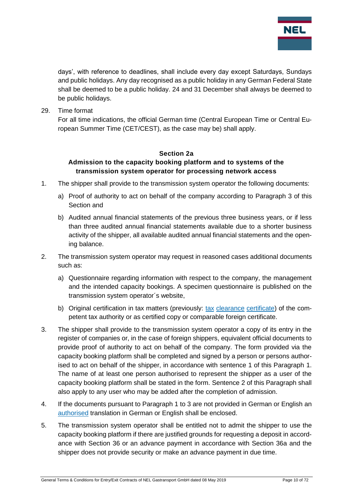

days', with reference to deadlines, shall include every day except Saturdays, Sundays and public holidays. Any day recognised as a public holiday in any German Federal State shall be deemed to be a public holiday. 24 and 31 December shall always be deemed to be public holidays.

29. Time format

For all time indications, the official German time (Central European Time or Central European Summer Time (CET/CEST), as the case may be) shall apply.

#### **Section 2a**

### <span id="page-9-0"></span>**Admission to the capacity booking platform and to systems of the transmission system operator for processing network access**

- 1. The shipper shall provide to the transmission system operator the following documents:
	- a) Proof of authority to act on behalf of the company according to Paragraph 3 of this Section and
	- b) Audited annual financial statements of the previous three business years, or if less than three audited annual financial statements available due to a shorter business activity of the shipper, all available audited annual financial statements and the opening balance.
- 2. The transmission system operator may request in reasoned cases additional documents such as:
	- a) Questionnaire regarding information with respect to the company, the management and the intended capacity bookings. A specimen questionnaire is published on the transmission system operator´s website,
	- b) Original certification in tax matters (previously: [tax](https://www.dict.cc/englisch-deutsch/tax.html) [clearance](https://www.dict.cc/englisch-deutsch/clearance.html) [certificate\)](https://www.dict.cc/englisch-deutsch/certificate.html) of the competent tax authority or as certified copy or comparable foreign certificate.
- 3. The shipper shall provide to the transmission system operator a copy of its entry in the register of companies or, in the case of foreign shippers, equivalent official documents to provide proof of authority to act on behalf of the company. The form provided via the capacity booking platform shall be completed and signed by a person or persons authorised to act on behalf of the shipper, in accordance with sentence 1 of this Paragraph 1. The name of at least one person authorised to represent the shipper as a user of the capacity booking platform shall be stated in the form. Sentence 2 of this Paragraph shall also apply to any user who may be added after the completion of admission.
- 4. If the documents pursuant to Paragraph 1 to 3 are not provided in German or English an [authorised](https://www.dict.cc/englisch-deutsch/authorized.html) translation in German or English shall be enclosed.
- 5. The transmission system operator shall be entitled not to admit the shipper to use the capacity booking platform if there are justified grounds for requesting a deposit in accordance with Section 36 or an advance payment in accordance with Section 36a and the shipper does not provide security or make an advance payment in due time.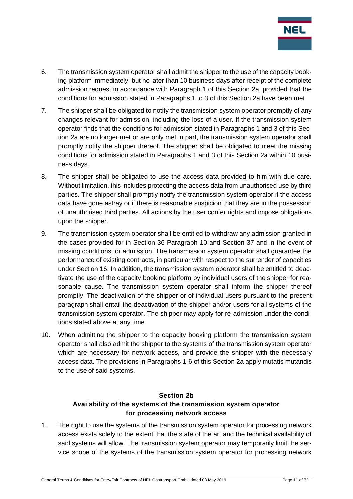

- 6. The transmission system operator shall admit the shipper to the use of the capacity booking platform immediately, but no later than 10 business days after receipt of the complete admission request in accordance with Paragraph 1 of this Section 2a, provided that the conditions for admission stated in Paragraphs 1 to 3 of this Section 2a have been met.
- 7. The shipper shall be obligated to notify the transmission system operator promptly of any changes relevant for admission, including the loss of a user. If the transmission system operator finds that the conditions for admission stated in Paragraphs 1 and 3 of this Section 2a are no longer met or are only met in part, the transmission system operator shall promptly notify the shipper thereof. The shipper shall be obligated to meet the missing conditions for admission stated in Paragraphs 1 and 3 of this Section 2a within 10 business days.
- 8. The shipper shall be obligated to use the access data provided to him with due care. Without limitation, this includes protecting the access data from unauthorised use by third parties. The shipper shall promptly notify the transmission system operator if the access data have gone astray or if there is reasonable suspicion that they are in the possession of unauthorised third parties. All actions by the user confer rights and impose obligations upon the shipper.
- 9. The transmission system operator shall be entitled to withdraw any admission granted in the cases provided for in Section 36 Paragraph 10 and Section 37 and in the event of missing conditions for admission. The transmission system operator shall guarantee the performance of existing contracts, in particular with respect to the surrender of capacities under Section 16. In addition, the transmission system operator shall be entitled to deactivate the use of the capacity booking platform by individual users of the shipper for reasonable cause. The transmission system operator shall inform the shipper thereof promptly. The deactivation of the shipper or of individual users pursuant to the present paragraph shall entail the deactivation of the shipper and/or users for all systems of the transmission system operator. The shipper may apply for re-admission under the conditions stated above at any time.
- 10. When admitting the shipper to the capacity booking platform the transmission system operator shall also admit the shipper to the systems of the transmission system operator which are necessary for network access, and provide the shipper with the necessary access data. The provisions in Paragraphs 1-6 of this Section 2a apply mutatis mutandis to the use of said systems.

## **Section 2b Availability of the systems of the transmission system operator for processing network access**

<span id="page-10-0"></span>1. The right to use the systems of the transmission system operator for processing network access exists solely to the extent that the state of the art and the technical availability of said systems will allow. The transmission system operator may temporarily limit the service scope of the systems of the transmission system operator for processing network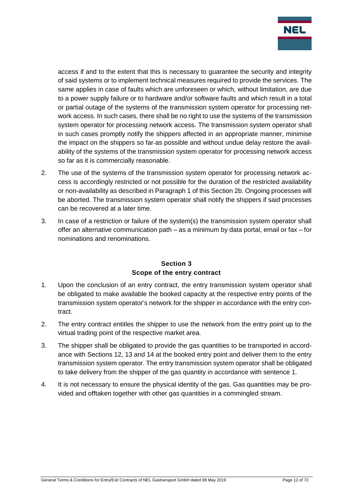

access if and to the extent that this is necessary to guarantee the security and integrity of said systems or to implement technical measures required to provide the services. The same applies in case of faults which are unforeseen or which, without limitation, are due to a power supply failure or to hardware and/or software faults and which result in a total or partial outage of the systems of the transmission system operator for processing network access. In such cases, there shall be no right to use the systems of the transmission system operator for processing network access. The transmission system operator shall in such cases promptly notify the shippers affected in an appropriate manner, minimise the impact on the shippers so far-as possible and without undue delay restore the availability of the systems of the transmission system operator for processing network access so far as it is commercially reasonable.

- 2. The use of the systems of the transmission system operator for processing network access is accordingly restricted or not possible for the duration of the restricted availability or non-availability as described in Paragraph 1 of this Section 2b. Ongoing processes will be aborted. The transmission system operator shall notify the shippers if said processes can be recovered at a later time.
- 3. In case of a restriction or failure of the system(s) the transmission system operator shall offer an alternative communication path – as a minimum by data portal, email or fax – for nominations and renominations.

#### **Section 3 Scope of the entry contract**

- <span id="page-11-0"></span>1. Upon the conclusion of an entry contract, the entry transmission system operator shall be obligated to make available the booked capacity at the respective entry points of the transmission system operator's network for the shipper in accordance with the entry contract.
- 2. The entry contract entitles the shipper to use the network from the entry point up to the virtual trading point of the respective market area.
- 3. The shipper shall be obligated to provide the gas quantities to be transported in accordance with Sections 12, 13 and 14 at the booked entry point and deliver them to the entry transmission system operator. The entry transmission system operator shall be obligated to take delivery from the shipper of the gas quantity in accordance with sentence 1.
- 4. It is not necessary to ensure the physical identity of the gas. Gas quantities may be provided and offtaken together with other gas quantities in a commingled stream.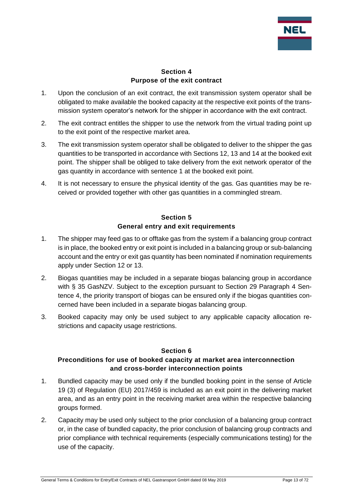

#### **Section 4 Purpose of the exit contract**

- <span id="page-12-0"></span>1. Upon the conclusion of an exit contract, the exit transmission system operator shall be obligated to make available the booked capacity at the respective exit points of the transmission system operator's network for the shipper in accordance with the exit contract.
- 2. The exit contract entitles the shipper to use the network from the virtual trading point up to the exit point of the respective market area.
- 3. The exit transmission system operator shall be obligated to deliver to the shipper the gas quantities to be transported in accordance with Sections 12, 13 and 14 at the booked exit point. The shipper shall be obliged to take delivery from the exit network operator of the gas quantity in accordance with sentence 1 at the booked exit point.
- 4. It is not necessary to ensure the physical identity of the gas. Gas quantities may be received or provided together with other gas quantities in a commingled stream.

### **Section 5 General entry and exit requirements**

- <span id="page-12-1"></span>1. The shipper may feed gas to or offtake gas from the system if a balancing group contract is in place, the booked entry or exit point is included in a balancing group or sub-balancing account and the entry or exit gas quantity has been nominated if nomination requirements apply under Section 12 or 13.
- 2. Biogas quantities may be included in a separate biogas balancing group in accordance with § 35 GasNZV. Subject to the exception pursuant to Section 29 Paragraph 4 Sentence 4, the priority transport of biogas can be ensured only if the biogas quantities concerned have been included in a separate biogas balancing group.
- 3. Booked capacity may only be used subject to any applicable capacity allocation restrictions and capacity usage restrictions.

#### **Section 6**

### <span id="page-12-2"></span>**Preconditions for use of booked capacity at market area interconnection and cross-border interconnection points**

- 1. Bundled capacity may be used only if the bundled booking point in the sense of Article 19 (3) of Regulation (EU) 2017/459 is included as an exit point in the delivering market area, and as an entry point in the receiving market area within the respective balancing groups formed.
- 2. Capacity may be used only subject to the prior conclusion of a balancing group contract or, in the case of bundled capacity, the prior conclusion of balancing group contracts and prior compliance with technical requirements (especially communications testing) for the use of the capacity.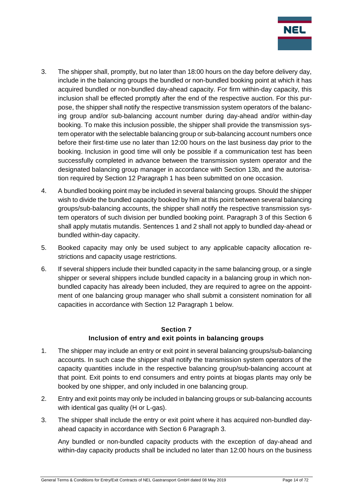

- 3. The shipper shall, promptly, but no later than 18:00 hours on the day before delivery day, include in the balancing groups the bundled or non-bundled booking point at which it has acquired bundled or non-bundled day-ahead capacity. For firm within-day capacity, this inclusion shall be effected promptly after the end of the respective auction. For this purpose, the shipper shall notify the respective transmission system operators of the balancing group and/or sub-balancing account number during day-ahead and/or within-day booking. To make this inclusion possible, the shipper shall provide the transmission system operator with the selectable balancing group or sub-balancing account numbers once before their first-time use no later than 12:00 hours on the last business day prior to the booking. Inclusion in good time will only be possible if a communication test has been successfully completed in advance between the transmission system operator and the designated balancing group manager in accordance with Section 13b, and the autorisation required by Section 12 Paragraph 1 has been submitted on one occasion.
- 4. A bundled booking point may be included in several balancing groups. Should the shipper wish to divide the bundled capacity booked by him at this point between several balancing groups/sub-balancing accounts, the shipper shall notify the respective transmission system operators of such division per bundled booking point. Paragraph 3 of this Section 6 shall apply mutatis mutandis. Sentences 1 and 2 shall not apply to bundled day-ahead or bundled within-day capacity.
- 5. Booked capacity may only be used subject to any applicable capacity allocation restrictions and capacity usage restrictions.
- 6. If several shippers include their bundled capacity in the same balancing group, or a single shipper or several shippers include bundled capacity in a balancing group in which nonbundled capacity has already been included, they are required to agree on the appointment of one balancing group manager who shall submit a consistent nomination for all capacities in accordance with Section 12 Paragraph 1 below.

## **Section 7 Inclusion of entry and exit points in balancing groups**

- <span id="page-13-0"></span>1. The shipper may include an entry or exit point in several balancing groups/sub-balancing accounts. In such case the shipper shall notify the transmission system operators of the capacity quantities include in the respective balancing group/sub-balancing account at that point. Exit points to end consumers and entry points at biogas plants may only be booked by one shipper, and only included in one balancing group.
- 2. Entry and exit points may only be included in balancing groups or sub-balancing accounts with identical gas quality (H or L-gas).
- 3. The shipper shall include the entry or exit point where it has acquired non-bundled dayahead capacity in accordance with Section 6 Paragraph 3.

Any bundled or non-bundled capacity products with the exception of day-ahead and within-day capacity products shall be included no later than 12:00 hours on the business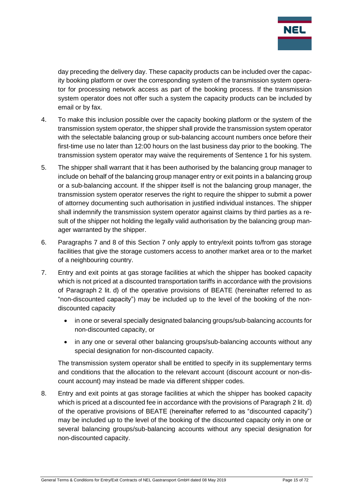

day preceding the delivery day. These capacity products can be included over the capacity booking platform or over the corresponding system of the transmission system operator for processing network access as part of the booking process. If the transmission system operator does not offer such a system the capacity products can be included by email or by fax.

- 4. To make this inclusion possible over the capacity booking platform or the system of the transmission system operator, the shipper shall provide the transmission system operator with the selectable balancing group or sub-balancing account numbers once before their first-time use no later than 12:00 hours on the last business day prior to the booking. The transmission system operator may waive the requirements of Sentence 1 for his system.
- 5. The shipper shall warrant that it has been authorised by the balancing group manager to include on behalf of the balancing group manager entry or exit points in a balancing group or a sub-balancing account. If the shipper itself is not the balancing group manager, the transmission system operator reserves the right to require the shipper to submit a power of attorney documenting such authorisation in justified individual instances. The shipper shall indemnify the transmission system operator against claims by third parties as a result of the shipper not holding the legally valid authorisation by the balancing group manager warranted by the shipper.
- 6. Paragraphs 7 and 8 of this Section 7 only apply to entry/exit points to/from gas storage facilities that give the storage customers access to another market area or to the market of a neighbouring country.
- 7. Entry and exit points at gas storage facilities at which the shipper has booked capacity which is not priced at a discounted transportation tariffs in accordance with the provisions of Paragraph 2 lit. d) of the operative provisions of BEATE (hereinafter referred to as "non-discounted capacity") may be included up to the level of the booking of the nondiscounted capacity
	- in one or several specially designated balancing groups/sub-balancing accounts for non-discounted capacity, or
	- in any one or several other balancing groups/sub-balancing accounts without any special designation for non-discounted capacity.

The transmission system operator shall be entitled to specify in its supplementary terms and conditions that the allocation to the relevant account (discount account or non-discount account) may instead be made via different shipper codes.

8. Entry and exit points at gas storage facilities at which the shipper has booked capacity which is priced at a discounted fee in accordance with the provisions of Paragraph 2 lit. d) of the operative provisions of BEATE (hereinafter referred to as "discounted capacity") may be included up to the level of the booking of the discounted capacity only in one or several balancing groups/sub-balancing accounts without any special designation for non-discounted capacity.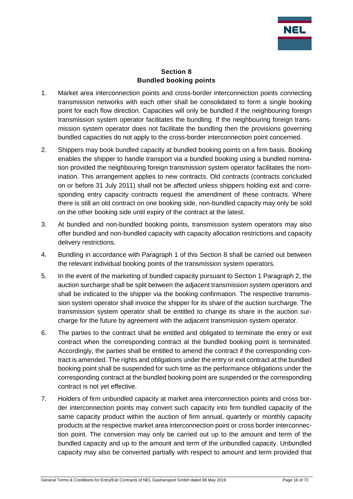

#### **Section 8 Bundled booking points**

- <span id="page-15-0"></span>1. Market area interconnection points and cross-border interconnection points connecting transmission networks with each other shall be consolidated to form a single booking point for each flow direction. Capacities will only be bundled if the neighbouring foreign transmission system operator facilitates the bundling. If the neighbouring foreign transmission system operator does not facilitate the bundling then the provisions governing bundled capacities do not apply to the cross-border interconnection point concerned.
- 2. Shippers may book bundled capacity at bundled booking points on a firm basis. Booking enables the shipper to handle transport via a bundled booking using a bundled nomination provided the neighbouring foreign transmission system operator facilitates the nomination. This arrangement applies to new contracts. Old contracts (contracts concluded on or before 31 July 2011) shall not be affected unless shippers holding exit and corresponding entry capacity contracts request the amendment of these contracts. Where there is still an old contract on one booking side, non-bundled capacity may only be sold on the other booking side until expiry of the contract at the latest.
- 3. At bundled and non-bundled booking points, transmission system operators may also offer bundled and non-bundled capacity with capacity allocation restrictions and capacity delivery restrictions.
- 4. Bundling in accordance with Paragraph 1 of this Section 8 shall be carried out between the relevant individual booking points of the transmission system operators.
- 5. In the event of the marketing of bundled capacity pursuant to Section 1 Paragraph 2, the auction surcharge shall be split between the adjacent transmission system operators and shall be indicated to the shipper via the booking confirmation. The respective transmission system operator shall invoice the shipper for its share of the auction surcharge. The transmission system operator shall be entitled to change its share in the auction surcharge for the future by agreement with the adjacent transmission system operator.
- 6. The parties to the contract shall be entitled and obligated to terminate the entry or exit contract when the corresponding contract at the bundled booking point is terminated. Accordingly, the parties shall be entitled to amend the contract if the corresponding contract is amended. The rights and obligations under the entry or exit contract at the bundled booking point shall be suspended for such time as the performance obligations under the corresponding contract at the bundled booking point are suspended or the corresponding contract is not yet effective.
- 7. Holders of firm unbundled capacity at market area interconnection points and cross border interconnection points may convert such capacity into firm bundled capacity of the same capacity product within the auction of firm annual, quarterly or monthly capacity products at the respective market area interconnection point or cross border interconnection point. The conversion may only be carried out up to the amount and term of the bundled capacity and up to the amount and term of the unbundled capacity. Unbundled capacity may also be converted partially with respect to amount and term provided that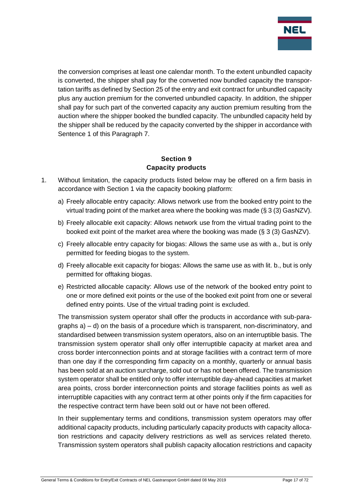

the conversion comprises at least one calendar month. To the extent unbundled capacity is converted, the shipper shall pay for the converted now bundled capacity the transportation tariffs as defined by Section 25 of the entry and exit contract for unbundled capacity plus any auction premium for the converted unbundled capacity. In addition, the shipper shall pay for such part of the converted capacity any auction premium resulting from the auction where the shipper booked the bundled capacity. The unbundled capacity held by the shipper shall be reduced by the capacity converted by the shipper in accordance with Sentence 1 of this Paragraph 7.

#### **Section 9 Capacity products**

- <span id="page-16-0"></span>1. Without limitation, the capacity products listed below may be offered on a firm basis in accordance with Section 1 via the capacity booking platform:
	- a) Freely allocable entry capacity: Allows network use from the booked entry point to the virtual trading point of the market area where the booking was made (§ 3 (3) GasNZV).
	- b) Freely allocable exit capacity: Allows network use from the virtual trading point to the booked exit point of the market area where the booking was made (§ 3 (3) GasNZV).
	- c) Freely allocable entry capacity for biogas: Allows the same use as with a., but is only permitted for feeding biogas to the system.
	- d) Freely allocable exit capacity for biogas: Allows the same use as with lit. b., but is only permitted for offtaking biogas.
	- e) Restricted allocable capacity: Allows use of the network of the booked entry point to one or more defined exit points or the use of the booked exit point from one or several defined entry points. Use of the virtual trading point is excluded.

The transmission system operator shall offer the products in accordance with sub-paragraphs  $a$ ) – d) on the basis of a procedure which is transparent, non-discriminatory, and standardised between transmission system operators, also on an interruptible basis. The transmission system operator shall only offer interruptible capacity at market area and cross border interconnection points and at storage facilities with a contract term of more than one day if the corresponding firm capacity on a monthly, quarterly or annual basis has been sold at an auction surcharge, sold out or has not been offered. The transmission system operator shall be entitled only to offer interruptible day-ahead capacities at market area points, cross border interconnection points and storage facilities points as well as interruptible capacities with any contract term at other points only if the firm capacities for the respective contract term have been sold out or have not been offered.

In their supplementary terms and conditions, transmission system operators may offer additional capacity products, including particularly capacity products with capacity allocation restrictions and capacity delivery restrictions as well as services related thereto. Transmission system operators shall publish capacity allocation restrictions and capacity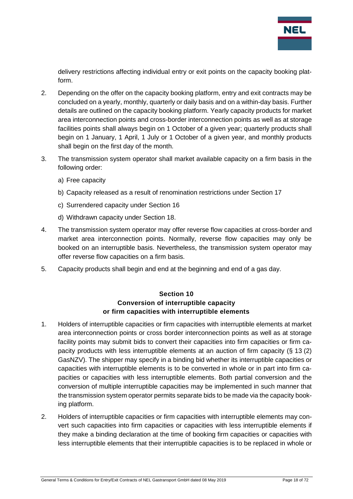

delivery restrictions affecting individual entry or exit points on the capacity booking platform.

- 2. Depending on the offer on the capacity booking platform, entry and exit contracts may be concluded on a yearly, monthly, quarterly or daily basis and on a within-day basis. Further details are outlined on the capacity booking platform. Yearly capacity products for market area interconnection points and cross-border interconnection points as well as at storage facilities points shall always begin on 1 October of a given year; quarterly products shall begin on 1 January, 1 April, 1 July or 1 October of a given year, and monthly products shall begin on the first day of the month.
- 3. The transmission system operator shall market available capacity on a firm basis in the following order:
	- a) Free capacity
	- b) Capacity released as a result of renomination restrictions under Section 17
	- c) Surrendered capacity under Section 16
	- d) Withdrawn capacity under Section 18.
- 4. The transmission system operator may offer reverse flow capacities at cross-border and market area interconnection points. Normally, reverse flow capacities may only be booked on an interruptible basis. Nevertheless, the transmission system operator may offer reverse flow capacities on a firm basis.
- <span id="page-17-0"></span>5. Capacity products shall begin and end at the beginning and end of a gas day.

#### **Section 10 Conversion of interruptible capacity or firm capacities with interruptible elements**

- 1. Holders of interruptible capacities or firm capacities with interruptible elements at market area interconnection points or cross border interconnection points as well as at storage facility points may submit bids to convert their capacities into firm capacities or firm capacity products with less interruptible elements at an auction of firm capacity (§ 13 (2) GasNZV). The shipper may specify in a binding bid whether its interruptible capacities or capacities with interruptible elements is to be converted in whole or in part into firm capacities or capacities with less interruptible elements. Both partial conversion and the conversion of multiple interruptible capacities may be implemented in such manner that the transmission system operator permits separate bids to be made via the capacity booking platform.
- 2. Holders of interruptible capacities or firm capacities with interruptible elements may convert such capacities into firm capacities or capacities with less interruptible elements if they make a binding declaration at the time of booking firm capacities or capacities with less interruptible elements that their interruptible capacities is to be replaced in whole or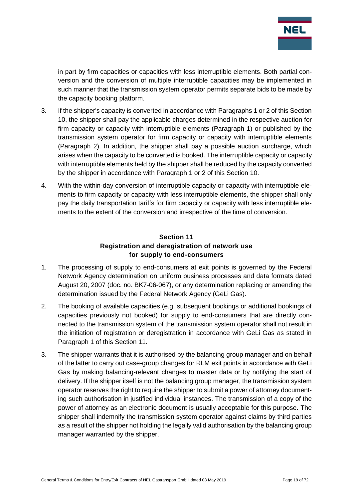

in part by firm capacities or capacities with less interruptible elements. Both partial conversion and the conversion of multiple interruptible capacities may be implemented in such manner that the transmission system operator permits separate bids to be made by the capacity booking platform.

- 3. If the shipper's capacity is converted in accordance with Paragraphs 1 or 2 of this Section 10, the shipper shall pay the applicable charges determined in the respective auction for firm capacity or capacity with interruptible elements (Paragraph 1) or published by the transmission system operator for firm capacity or capacity with interruptible elements (Paragraph 2). In addition, the shipper shall pay a possible auction surcharge, which arises when the capacity to be converted is booked. The interruptible capacity or capacity with interruptible elements held by the shipper shall be reduced by the capacity converted by the shipper in accordance with Paragraph 1 or 2 of this Section 10.
- 4. With the within-day conversion of interruptible capacity or capacity with interruptible elements to firm capacity or capacity with less interruptible elements, the shipper shall only pay the daily transportation tariffs for firm capacity or capacity with less interruptible elements to the extent of the conversion and irrespective of the time of conversion.

## **Section 11 Registration and deregistration of network use for supply to end-consumers**

- <span id="page-18-0"></span>1. The processing of supply to end-consumers at exit points is governed by the Federal Network Agency determination on uniform business processes and data formats dated August 20, 2007 (doc. no. BK7-06-067), or any determination replacing or amending the determination issued by the Federal Network Agency (GeLi Gas).
- 2. The booking of available capacities (e.g. subsequent bookings or additional bookings of capacities previously not booked) for supply to end-consumers that are directly connected to the transmission system of the transmission system operator shall not result in the initiation of registration or deregistration in accordance with GeLi Gas as stated in Paragraph 1 of this Section 11.
- 3. The shipper warrants that it is authorised by the balancing group manager and on behalf of the latter to carry out case-group changes for RLM exit points in accordance with GeLi Gas by making balancing-relevant changes to master data or by notifying the start of delivery. If the shipper itself is not the balancing group manager, the transmission system operator reserves the right to require the shipper to submit a power of attorney documenting such authorisation in justified individual instances. The transmission of a copy of the power of attorney as an electronic document is usually acceptable for this purpose. The shipper shall indemnify the transmission system operator against claims by third parties as a result of the shipper not holding the legally valid authorisation by the balancing group manager warranted by the shipper.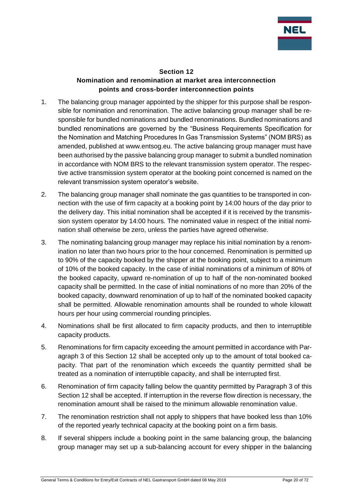

#### **Section 12 Nomination and renomination at market area interconnection points and cross-border interconnection points**

- <span id="page-19-0"></span>1. The balancing group manager appointed by the shipper for this purpose shall be responsible for nomination and renomination. The active balancing group manager shall be responsible for bundled nominations and bundled renominations. Bundled nominations and bundled renominations are governed by the "Business Requirements Specification for the Nomination and Matching Procedures In Gas Transmission Systems" (NOM BRS) as amended, published at www.entsog.eu. The active balancing group manager must have been authorised by the passive balancing group manager to submit a bundled nomination in accordance with NOM BRS to the relevant transmission system operator. The respective active transmission system operator at the booking point concerned is named on the relevant transmission system operator's website.
- 2. The balancing group manager shall nominate the gas quantities to be transported in connection with the use of firm capacity at a booking point by 14:00 hours of the day prior to the delivery day. This initial nomination shall be accepted if it is received by the transmission system operator by 14:00 hours. The nominated value in respect of the initial nomination shall otherwise be zero, unless the parties have agreed otherwise.
- 3. The nominating balancing group manager may replace his initial nomination by a renomination no later than two hours prior to the hour concerned. Renomination is permitted up to 90% of the capacity booked by the shipper at the booking point, subject to a minimum of 10% of the booked capacity. In the case of initial nominations of a minimum of 80% of the booked capacity, upward re-nomination of up to half of the non-nominated booked capacity shall be permitted. In the case of initial nominations of no more than 20% of the booked capacity, downward renomination of up to half of the nominated booked capacity shall be permitted. Allowable renomination amounts shall be rounded to whole kilowatt hours per hour using commercial rounding principles.
- 4. Nominations shall be first allocated to firm capacity products, and then to interruptible capacity products.
- 5. Renominations for firm capacity exceeding the amount permitted in accordance with Paragraph 3 of this Section 12 shall be accepted only up to the amount of total booked capacity. That part of the renomination which exceeds the quantity permitted shall be treated as a nomination of interruptible capacity, and shall be interrupted first.
- 6. Renomination of firm capacity falling below the quantity permitted by Paragraph 3 of this Section 12 shall be accepted. If interruption in the reverse flow direction is necessary, the renomination amount shall be raised to the minimum allowable renomination value.
- 7. The renomination restriction shall not apply to shippers that have booked less than 10% of the reported yearly technical capacity at the booking point on a firm basis.
- 8. If several shippers include a booking point in the same balancing group, the balancing group manager may set up a sub-balancing account for every shipper in the balancing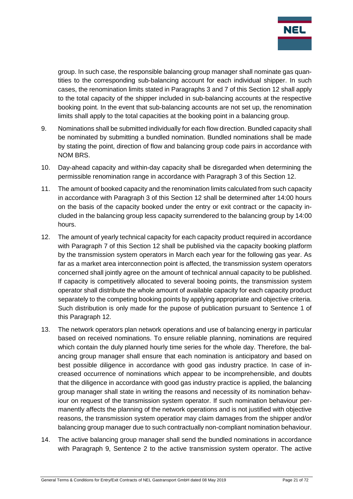

group. In such case, the responsible balancing group manager shall nominate gas quantities to the corresponding sub-balancing account for each individual shipper. In such cases, the renomination limits stated in Paragraphs 3 and 7 of this Section 12 shall apply to the total capacity of the shipper included in sub-balancing accounts at the respective booking point. In the event that sub-balancing accounts are not set up, the renomination limits shall apply to the total capacities at the booking point in a balancing group.

- 9. Nominations shall be submitted individually for each flow direction. Bundled capacity shall be nominated by submitting a bundled nomination. Bundled nominations shall be made by stating the point, direction of flow and balancing group code pairs in accordance with NOM BRS.
- 10. Day-ahead capacity and within-day capacity shall be disregarded when determining the permissible renomination range in accordance with Paragraph 3 of this Section 12.
- 11. The amount of booked capacity and the renomination limits calculated from such capacity in accordance with Paragraph 3 of this Section 12 shall be determined after 14:00 hours on the basis of the capacity booked under the entry or exit contract or the capacity included in the balancing group less capacity surrendered to the balancing group by 14:00 hours.
- 12. The amount of yearly technical capacity for each capacity product required in accordance with Paragraph 7 of this Section 12 shall be published via the capacity booking platform by the transmission system operators in March each year for the following gas year. As far as a market area interconnection point is affected, the transmission system operators concerned shall jointly agree on the amount of technical annual capacity to be published. If capacity is competitively allocated to several booing points, the transmission system operator shall distribute the whole amount of available capacity for each capacity product separately to the competing booking points by applying appropriate and objective criteria. Such distribution is only made for the pupose of publication pursuant to Sentence 1 of this Paragraph 12.
- 13. The network operators plan network operations and use of balancing energy in particular based on received nominations. To ensure reliable planning, nominations are required which contain the duly planned hourly time series for the whole day. Therefore, the balancing group manager shall ensure that each nomination is anticipatory and based on best possible diligence in accordance with good gas industry practice. In case of increased occurrence of nominations which appear to be incomprehensible, and doubts that the diligence in accordance with good gas industry practice is applied, the balancing group manager shall state in writing the reasons and necessity of its nomination behaviour on request of the transmission system operator. If such nomination behaviour permanently affects the planning of the network operations and is not justified with objective reasons, the transmission system operatior may claim damages from the shipper and/or balancing group manager due to such contractually non-compliant nomination behaviour.
- 14. The active balancing group manager shall send the bundled nominations in accordance with Paragraph 9, Sentence 2 to the active transmission system operator. The active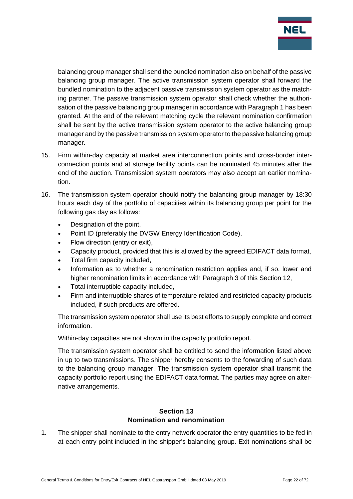

balancing group manager shall send the bundled nomination also on behalf of the passive balancing group manager. The active transmission system operator shall forward the bundled nomination to the adjacent passive transmission system operator as the matching partner. The passive transmission system operator shall check whether the authorisation of the passive balancing group manager in accordance with Paragraph 1 has been granted. At the end of the relevant matching cycle the relevant nomination confirmation shall be sent by the active transmission system operator to the active balancing group manager and by the passive transmission system operator to the passive balancing group manager.

- 15. Firm within-day capacity at market area interconnection points and cross-border interconnection points and at storage facility points can be nominated 45 minutes after the end of the auction. Transmission system operators may also accept an earlier nomination.
- 16. The transmission system operator should notify the balancing group manager by 18:30 hours each day of the portfolio of capacities within its balancing group per point for the following gas day as follows:
	- Designation of the point,
	- Point ID (preferably the DVGW Energy Identification Code),
	- Flow direction (entry or exit),
	- Capacity product, provided that this is allowed by the agreed EDIFACT data format,
	- Total firm capacity included,
	- Information as to whether a renomination restriction applies and, if so, lower and higher renomination limits in accordance with Paragraph 3 of this Section 12,
	- Total interruptible capacity included,
	- Firm and interruptible shares of temperature related and restricted capacity products included, if such products are offered.

The transmission system operator shall use its best efforts to supply complete and correct information.

Within-day capacities are not shown in the capacity portfolio report.

The transmission system operator shall be entitled to send the information listed above in up to two transmissions. The shipper hereby consents to the forwarding of such data to the balancing group manager. The transmission system operator shall transmit the capacity portfolio report using the EDIFACT data format. The parties may agree on alternative arrangements.

#### **Section 13 Nomination and renomination**

<span id="page-21-0"></span>1. The shipper shall nominate to the entry network operator the entry quantities to be fed in at each entry point included in the shipper's balancing group. Exit nominations shall be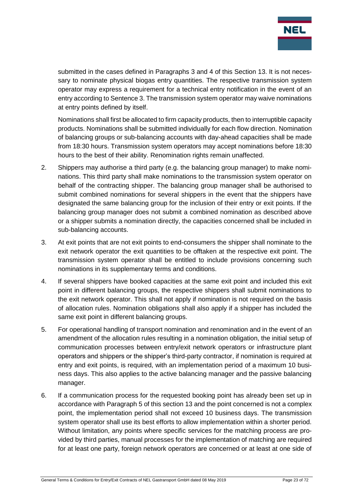

submitted in the cases defined in Paragraphs 3 and 4 of this Section 13. It is not necessary to nominate physical biogas entry quantities. The respective transmission system operator may express a requirement for a technical entry notification in the event of an entry according to Sentence 3. The transmission system operator may waive nominations at entry points defined by itself.

Nominations shall first be allocated to firm capacity products, then to interruptible capacity products. Nominations shall be submitted individually for each flow direction. Nomination of balancing groups or sub-balancing accounts with day-ahead capacities shall be made from 18:30 hours. Transmission system operators may accept nominations before 18:30 hours to the best of their ability. Renomination rights remain unaffected.

- 2. Shippers may authorise a third party (e.g. the balancing group manager) to make nominations. This third party shall make nominations to the transmission system operator on behalf of the contracting shipper. The balancing group manager shall be authorised to submit combined nominations for several shippers in the event that the shippers have designated the same balancing group for the inclusion of their entry or exit points. If the balancing group manager does not submit a combined nomination as described above or a shipper submits a nomination directly, the capacities concerned shall be included in sub-balancing accounts.
- 3. At exit points that are not exit points to end-consumers the shipper shall nominate to the exit network operator the exit quantities to be offtaken at the respective exit point. The transmission system operator shall be entitled to include provisions concerning such nominations in its supplementary terms and conditions.
- 4. If several shippers have booked capacities at the same exit point and included this exit point in different balancing groups, the respective shippers shall submit nominations to the exit network operator. This shall not apply if nomination is not required on the basis of allocation rules. Nomination obligations shall also apply if a shipper has included the same exit point in different balancing groups.
- 5. For operational handling of transport nomination and renomination and in the event of an amendment of the allocation rules resulting in a nomination obligation, the initial setup of communication processes between entry/exit network operators or infrastructure plant operators and shippers or the shipper's third-party contractor, if nomination is required at entry and exit points, is required, with an implementation period of a maximum 10 business days. This also applies to the active balancing manager and the passive balancing manager.
- 6. If a communication process for the requested booking point has already been set up in accordance with Paragraph 5 of this section 13 and the point concerned is not a complex point, the implementation period shall not exceed 10 business days. The transmission system operator shall use its best efforts to allow implementation within a shorter period. Without limitation, any points where specific services for the matching process are provided by third parties, manual processes for the implementation of matching are required for at least one party, foreign network operators are concerned or at least at one side of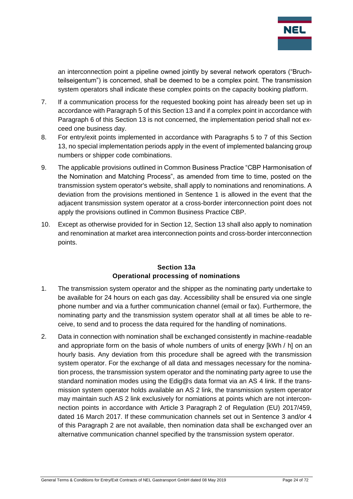

an interconnection point a pipeline owned jointly by several network operators ("Bruchteilseigentum") is concerned, shall be deemed to be a complex point. The transmission system operators shall indicate these complex points on the capacity booking platform.

- 7. If a communication process for the requested booking point has already been set up in accordance with Paragraph 5 of this Section 13 and if a complex point in accordance with Paragraph 6 of this Section 13 is not concerned, the implementation period shall not exceed one business day.
- 8. For entry/exit points implemented in accordance with Paragraphs 5 to 7 of this Section 13, no special implementation periods apply in the event of implemented balancing group numbers or shipper code combinations.
- 9. The applicable provisions outlined in Common Business Practice "CBP Harmonisation of the Nomination and Matching Process", as amended from time to time, posted on the transmission system operator's website, shall apply to nominations and renominations. A deviation from the provisions mentioned in Sentence 1 is allowed in the event that the adjacent transmission system operator at a cross-border interconnection point does not apply the provisions outlined in Common Business Practice CBP.
- 10. Except as otherwise provided for in Section 12, Section 13 shall also apply to nomination and renomination at market area interconnection points and cross-border interconnection points.

#### **Section 13a Operational processing of nominations**

- <span id="page-23-0"></span>1. The transmission system operator and the shipper as the nominating party undertake to be available for 24 hours on each gas day. Accessibility shall be ensured via one single phone number and via a further communication channel (email or fax). Furthermore, the nominating party and the transmission system operator shall at all times be able to receive, to send and to process the data required for the handling of nominations.
- 2. Data in connection with nomination shall be exchanged consistently in machine-readable and appropriate form on the basis of whole numbers of units of energy [kWh / h] on an hourly basis. Any deviation from this procedure shall be agreed with the transmission system operator. For the exchange of all data and messages necessary for the nomination process, the transmission system operator and the nominating party agree to use the standard nomination modes using the Edig@s data format via an AS 4 link. If the transmission system operator holds available an AS 2 link, the transmission system operator may maintain such AS 2 link exclusively for nomiations at points which are not interconnection points in accordance with Article 3 Paragraph 2 of Regulation (EU) 2017/459, dated 16 March 2017. If these communication channels set out in Sentence 3 and/or 4 of this Paragraph 2 are not available, then nomination data shall be exchanged over an alternative communication channel specified by the transmission system operator.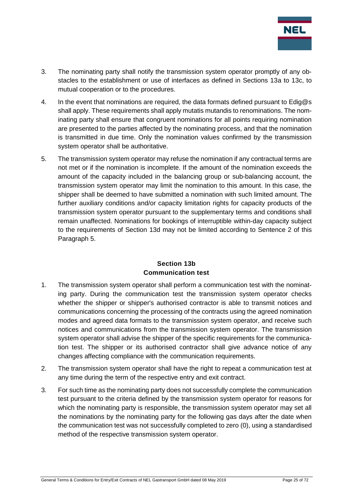

- 3. The nominating party shall notify the transmission system operator promptly of any obstacles to the establishment or use of interfaces as defined in Sections 13a to 13c, to mutual cooperation or to the procedures.
- 4. In the event that nominations are required, the data formats defined pursuant to Edig@s shall apply. These requirements shall apply mutatis mutandis to renominations. The nominating party shall ensure that congruent nominations for all points requiring nomination are presented to the parties affected by the nominating process, and that the nomination is transmitted in due time. Only the nomination values confirmed by the transmission system operator shall be authoritative.
- 5. The transmission system operator may refuse the nomination if any contractual terms are not met or if the nomination is incomplete. If the amount of the nomination exceeds the amount of the capacity included in the balancing group or sub-balancing account, the transmission system operator may limit the nomination to this amount. In this case, the shipper shall be deemed to have submitted a nomination with such limited amount. The further auxiliary conditions and/or capacity limitation rights for capacity products of the transmission system operator pursuant to the supplementary terms and conditions shall remain unaffected. Nominations for bookings of interruptible within-day capacity subject to the requirements of Section 13d may not be limited according to Sentence 2 of this Paragraph 5.

#### **Section 13b Communication test**

- <span id="page-24-0"></span>1. The transmission system operator shall perform a communication test with the nominating party. During the communication test the transmission system operator checks whether the shipper or shipper's authorised contractor is able to transmit notices and communications concerning the processing of the contracts using the agreed nomination modes and agreed data formats to the transmission system operator, and receive such notices and communications from the transmission system operator. The transmission system operator shall advise the shipper of the specific requirements for the communication test. The shipper or its authorised contractor shall give advance notice of any changes affecting compliance with the communication requirements.
- 2. The transmission system operator shall have the right to repeat a communication test at any time during the term of the respective entry and exit contract.
- 3. For such time as the nominating party does not successfully complete the communication test pursuant to the criteria defined by the transmission system operator for reasons for which the nominating party is responsible, the transmission system operator may set all the nominations by the nominating party for the following gas days after the date when the communication test was not successfully completed to zero (0), using a standardised method of the respective transmission system operator.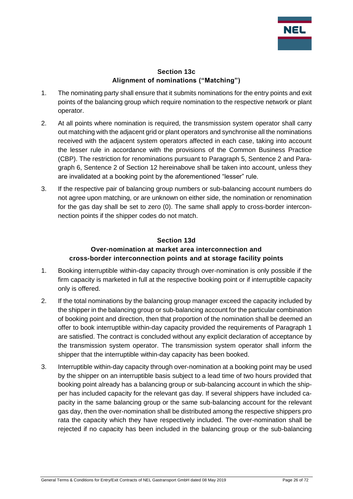

#### **Section 13c Alignment of nominations ("Matching")**

- <span id="page-25-0"></span>1. The nominating party shall ensure that it submits nominations for the entry points and exit points of the balancing group which require nomination to the respective network or plant operator.
- 2. At all points where nomination is required, the transmission system operator shall carry out matching with the adjacent grid or plant operators and synchronise all the nominations received with the adjacent system operators affected in each case, taking into account the lesser rule in accordance with the provisions of the Common Business Practice (CBP). The restriction for renominations pursuant to Paragraph 5, Sentence 2 and Paragraph 6, Sentence 2 of Section 12 hereinabove shall be taken into account, unless they are invalidated at a booking point by the aforementioned "lesser" rule.
- 3. If the respective pair of balancing group numbers or sub-balancing account numbers do not agree upon matching, or are unknown on either side, the nomination or renomination for the gas day shall be set to zero (0). The same shall apply to cross-border interconnection points if the shipper codes do not match.

## <span id="page-25-1"></span>**Section 13d Over-nomination at market area interconnection and cross-border interconnection points and at storage facility points**

- 1. Booking interruptible within-day capacity through over-nomination is only possible if the firm capacity is marketed in full at the respective booking point or if interruptible capacity only is offered.
- 2. If the total nominations by the balancing group manager exceed the capacity included by the shipper in the balancing group or sub-balancing account for the particular combination of booking point and direction, then that proportion of the nomination shall be deemed an offer to book interruptible within-day capacity provided the requirements of Paragraph 1 are satisfied. The contract is concluded without any explicit declaration of acceptance by the transmission system operator. The transmission system operator shall inform the shipper that the interruptible within-day capacity has been booked.
- 3. Interruptible within-day capacity through over-nomination at a booking point may be used by the shipper on an interruptible basis subject to a lead time of two hours provided that booking point already has a balancing group or sub-balancing account in which the shipper has included capacity for the relevant gas day. If several shippers have included capacity in the same balancing group or the same sub-balancing account for the relevant gas day, then the over-nomination shall be distributed among the respective shippers pro rata the capacity which they have respectively included. The over-nomination shall be rejected if no capacity has been included in the balancing group or the sub-balancing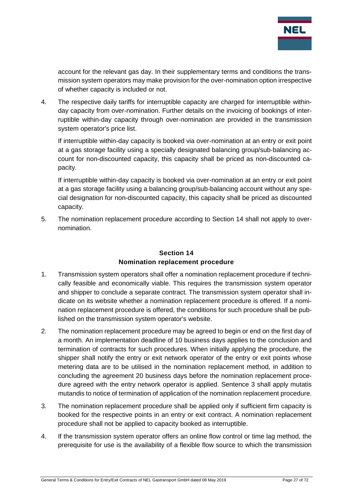

account for the relevant gas day. In their supplementary terms and conditions the transmission system operators may make provision for the over-nomination option irrespective of whether capacity is included or not.

4. The respective daily tariffs for interruptible capacity are charged for interruptible withinday capacity from over-nomination. Further details on the invoicing of bookings of interruptible within-day capacity through over-nomination are provided in the transmission system operator's price list.

If interruptible within-day capacity is booked via over-nomination at an entry or exit point at a gas storage facility using a specially designated balancing group/sub-balancing account for non-discounted capacity, this capacity shall be priced as non-discounted capacity.

If interruptible within-day capacity is booked via over-nomination at an entry or exit point at a gas storage facility using a balancing group/sub-balancing account without any special designation for non-discounted capacity, this capacity shall be priced as discounted capacity.

5. The nomination replacement procedure according to Section 14 shall not apply to overnomination.

### **Section 14 Nomination replacement procedure**

- <span id="page-26-0"></span>1. Transmission system operators shall offer a nomination replacement procedure if technically feasible and economically viable. This requires the transmission system operator and shipper to conclude a separate contract. The transmission system operator shall indicate on its website whether a nomination replacement procedure is offered. If a nomination replacement procedure is offered, the conditions for such procedure shall be published on the transmission system operator's website.
- 2. The nomination replacement procedure may be agreed to begin or end on the first day of a month. An implementation deadline of 10 business days applies to the conclusion and termination of contracts for such procedures. When initially applying the procedure, the shipper shall notify the entry or exit network operator of the entry or exit points whose metering data are to be utilised in the nomination replacement method, in addition to concluding the agreement 20 business days before the nomination replacement procedure agreed with the entry network operator is applied. Sentence 3 shall apply mutatis mutandis to notice of termination of application of the nomination replacement procedure.
- 3. The nomination replacement procedure shall be applied only if sufficient firm capacity is booked for the respective points in an entry or exit contract. A nomination replacement procedure shall not be applied to capacity booked as interruptible.
- 4. If the transmission system operator offers an online flow control or time lag method, the prerequisite for use is the availability of a flexible flow source to which the transmission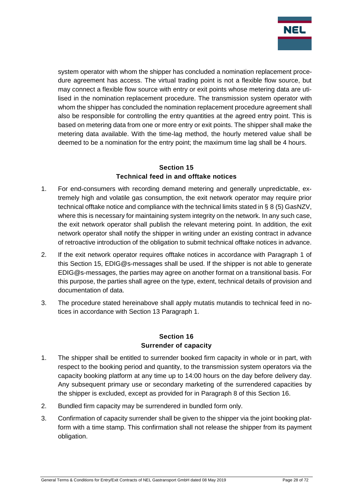

system operator with whom the shipper has concluded a nomination replacement procedure agreement has access. The virtual trading point is not a flexible flow source, but may connect a flexible flow source with entry or exit points whose metering data are utilised in the nomination replacement procedure. The transmission system operator with whom the shipper has concluded the nomination replacement procedure agreement shall also be responsible for controlling the entry quantities at the agreed entry point. This is based on metering data from one or more entry or exit points. The shipper shall make the metering data available. With the time-lag method, the hourly metered value shall be deemed to be a nomination for the entry point; the maximum time lag shall be 4 hours.

## **Section 15 Technical feed in and offtake notices**

- <span id="page-27-0"></span>1. For end-consumers with recording demand metering and generally unpredictable, extremely high and volatile gas consumption, the exit network operator may require prior technical offtake notice and compliance with the technical limits stated in § 8 (5) GasNZV, where this is necessary for maintaining system integrity on the network. In any such case, the exit network operator shall publish the relevant metering point. In addition, the exit network operator shall notify the shipper in writing under an existing contract in advance of retroactive introduction of the obligation to submit technical offtake notices in advance.
- 2. If the exit network operator requires offtake notices in accordance with Paragraph 1 of this Section 15, EDIG@s-messages shall be used. If the shipper is not able to generate EDIG@s-messages, the parties may agree on another format on a transitional basis. For this purpose, the parties shall agree on the type, extent, technical details of provision and documentation of data.
- 3. The procedure stated hereinabove shall apply mutatis mutandis to technical feed in notices in accordance with Section 13 Paragraph 1.

#### **Section 16 Surrender of capacity**

- <span id="page-27-1"></span>1. The shipper shall be entitled to surrender booked firm capacity in whole or in part, with respect to the booking period and quantity, to the transmission system operators via the capacity booking platform at any time up to 14:00 hours on the day before delivery day. Any subsequent primary use or secondary marketing of the surrendered capacities by the shipper is excluded, except as provided for in Paragraph 8 of this Section 16.
- 2. Bundled firm capacity may be surrendered in bundled form only.
- 3. Confirmation of capacity surrender shall be given to the shipper via the joint booking platform with a time stamp. This confirmation shall not release the shipper from its payment obligation.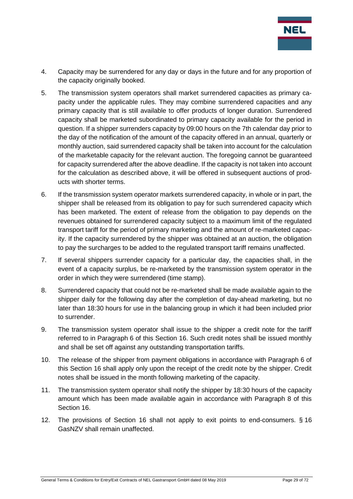

- 4. Capacity may be surrendered for any day or days in the future and for any proportion of the capacity originally booked.
- 5. The transmission system operators shall market surrendered capacities as primary capacity under the applicable rules. They may combine surrendered capacities and any primary capacity that is still available to offer products of longer duration. Surrendered capacity shall be marketed subordinated to primary capacity available for the period in question. If a shipper surrenders capacity by 09:00 hours on the 7th calendar day prior to the day of the notification of the amount of the capacity offered in an annual, quarterly or monthly auction, said surrendered capacity shall be taken into account for the calculation of the marketable capacity for the relevant auction. The foregoing cannot be guaranteed for capacity surrendered after the above deadline. If the capacity is not taken into account for the calculation as described above, it will be offered in subsequent auctions of products with shorter terms.
- 6. If the transmission system operator markets surrendered capacity, in whole or in part, the shipper shall be released from its obligation to pay for such surrendered capacity which has been marketed. The extent of release from the obligation to pay depends on the revenues obtained for surrendered capacity subject to a maximum limit of the regulated transport tariff for the period of primary marketing and the amount of re-marketed capacity. If the capacity surrendered by the shipper was obtained at an auction, the obligation to pay the surcharges to be added to the regulated transport tariff remains unaffected.
- 7. If several shippers surrender capacity for a particular day, the capacities shall, in the event of a capacity surplus, be re-marketed by the transmission system operator in the order in which they were surrendered (time stamp).
- 8. Surrendered capacity that could not be re-marketed shall be made available again to the shipper daily for the following day after the completion of day-ahead marketing, but no later than 18:30 hours for use in the balancing group in which it had been included prior to surrender.
- 9. The transmission system operator shall issue to the shipper a credit note for the tariff referred to in Paragraph 6 of this Section 16. Such credit notes shall be issued monthly and shall be set off against any outstanding transportation tariffs.
- 10. The release of the shipper from payment obligations in accordance with Paragraph 6 of this Section 16 shall apply only upon the receipt of the credit note by the shipper. Credit notes shall be issued in the month following marketing of the capacity.
- 11. The transmission system operator shall notify the shipper by 18:30 hours of the capacity amount which has been made available again in accordance with Paragraph 8 of this Section 16.
- 12. The provisions of Section 16 shall not apply to exit points to end-consumers. § 16 GasNZV shall remain unaffected.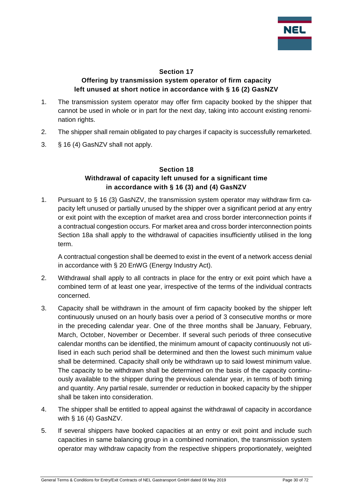

#### **Section 17**

### **Offering by transmission system operator of firm capacity left unused at short notice in accordance with § 16 (2) GasNZV**

- <span id="page-29-0"></span>1. The transmission system operator may offer firm capacity booked by the shipper that cannot be used in whole or in part for the next day, taking into account existing renomination rights.
- 2. The shipper shall remain obligated to pay charges if capacity is successfully remarketed.
- <span id="page-29-1"></span>3. § 16 (4) GasNZV shall not apply.

#### **Section 18 Withdrawal of capacity left unused for a significant time in accordance with § 16 (3) and (4) GasNZV**

1. Pursuant to § 16 (3) GasNZV, the transmission system operator may withdraw firm capacity left unused or partially unused by the shipper over a significant period at any entry or exit point with the exception of market area and cross border interconnection points if a contractual congestion occurs. For market area and cross border interconnection points Section 18a shall apply to the withdrawal of capacities insufficiently utilised in the long term.

A contractual congestion shall be deemed to exist in the event of a network access denial in accordance with § 20 EnWG (Energy Industry Act).

- 2. Withdrawal shall apply to all contracts in place for the entry or exit point which have a combined term of at least one year, irrespective of the terms of the individual contracts concerned.
- 3. Capacity shall be withdrawn in the amount of firm capacity booked by the shipper left continuously unused on an hourly basis over a period of 3 consecutive months or more in the preceding calendar year. One of the three months shall be January, February, March, October, November or December. If several such periods of three consecutive calendar months can be identified, the minimum amount of capacity continuously not utilised in each such period shall be determined and then the lowest such minimum value shall be determined. Capacity shall only be withdrawn up to said lowest minimum value. The capacity to be withdrawn shall be determined on the basis of the capacity continuously available to the shipper during the previous calendar year, in terms of both timing and quantity. Any partial resale, surrender or reduction in booked capacity by the shipper shall be taken into consideration.
- 4. The shipper shall be entitled to appeal against the withdrawal of capacity in accordance with § 16 (4) GasNZV.
- 5. If several shippers have booked capacities at an entry or exit point and include such capacities in same balancing group in a combined nomination, the transmission system operator may withdraw capacity from the respective shippers proportionately, weighted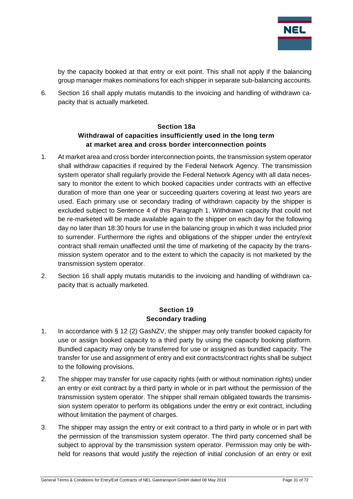

by the capacity booked at that entry or exit point. This shall not apply if the balancing group manager makes nominations for each shipper in separate sub-balancing accounts.

6. Section 16 shall apply mutatis mutandis to the invoicing and handling of withdrawn capacity that is actually marketed.

## **Section 18a Withdrawal of capacities insufficiently used in the long term at market area and cross border interconnection points**

- <span id="page-30-0"></span>1. At market area and cross border interconnection points, the transmission system operator shall withdraw capacities if required by the Federal Network Agency. The transmission system operator shall regularly provide the Federal Network Agency with all data necessary to monitor the extent to which booked capacities under contracts with an effective duration of more than one year or succeeding quarters covering at least two years are used. Each primary use or secondary trading of withdrawn capacity by the shipper is excluded subject to Sentence 4 of this Paragraph 1. Withdrawn capacity that could not be re-marketed will be made available again to the shipper on each day for the following day no later than 18:30 hours for use in the balancing group in which it was included prior to surrender. Furthermore the rights and obligations of the shipper under the entry/exit contract shall remain unaffected until the time of marketing of the capacity by the transmission system operator and to the extent to which the capacity is not marketed by the transmission system operator.
- 2. Section 16 shall apply mutatis mutandis to the invoicing and handling of withdrawn capacity that is actually marketed.

#### **Section 19 Secondary trading**

- <span id="page-30-1"></span>1. In accordance with § 12 (2) GasNZV, the shipper may only transfer booked capacity for use or assign booked capacity to a third party by using the capacity booking platform. Bundled capacity may only be transferred for use or assigned as bundled capacity. The transfer for use and assignment of entry and exit contracts/contract rights shall be subject to the following provisions.
- 2. The shipper may transfer for use capacity rights (with or without nomination rights) under an entry or exit contract by a third party in whole or in part without the permission of the transmission system operator. The shipper shall remain obligated towards the transmission system operator to perform its obligations under the entry or exit contract, including without limitation the payment of charges.
- 3. The shipper may assign the entry or exit contract to a third party in whole or in part with the permission of the transmission system operator. The third party concerned shall be subject to approval by the transmission system operator. Permission may only be withheld for reasons that would justify the rejection of initial conclusion of an entry or exit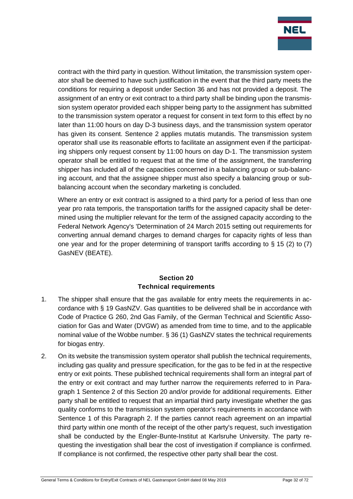

contract with the third party in question. Without limitation, the transmission system operator shall be deemed to have such justification in the event that the third party meets the conditions for requiring a deposit under Section 36 and has not provided a deposit. The assignment of an entry or exit contract to a third party shall be binding upon the transmission system operator provided each shipper being party to the assignment has submitted to the transmission system operator a request for consent in text form to this effect by no later than 11:00 hours on day D-3 business days, and the transmission system operator has given its consent. Sentence 2 applies mutatis mutandis. The transmission system operator shall use its reasonable efforts to facilitate an assignment even if the participating shippers only request consent by 11:00 hours on day D-1. The transmission system operator shall be entitled to request that at the time of the assignment, the transferring shipper has included all of the capacities concerned in a balancing group or sub-balancing account, and that the assignee shipper must also specify a balancing group or subbalancing account when the secondary marketing is concluded.

Where an entry or exit contract is assigned to a third party for a period of less than one year pro rata temporis, the transportation tariffs for the assigned capacity shall be determined using the multiplier relevant for the term of the assigned capacity according to the Federal Network Agency's 'Determination of 24 March 2015 setting out requirements for converting annual demand charges to demand charges for capacity rights of less than one year and for the proper determining of transport tariffs according to  $\S$  15 (2) to (7) GasNEV (BEATE).

### **Section 20 Technical requirements**

- <span id="page-31-0"></span>1. The shipper shall ensure that the gas available for entry meets the requirements in accordance with § 19 GasNZV. Gas quantities to be delivered shall be in accordance with Code of Practice G 260, 2nd Gas Family, of the German Technical and Scientific Association for Gas and Water (DVGW) as amended from time to time, and to the applicable nominal value of the Wobbe number. § 36 (1) GasNZV states the technical requirements for biogas entry.
- 2. On its website the transmission system operator shall publish the technical requirements, including gas quality and pressure specification, for the gas to be fed in at the respective entry or exit points. These published technical requirements shall form an integral part of the entry or exit contract and may further narrow the requirements referred to in Paragraph 1 Sentence 2 of this Section 20 and/or provide for additional requirements. Either party shall be entitled to request that an impartial third party investigate whether the gas quality conforms to the transmission system operator's requirements in accordance with Sentence 1 of this Paragraph 2. If the parties cannot reach agreement on an impartial third party within one month of the receipt of the other party's request, such investigation shall be conducted by the Engler-Bunte-Institut at Karlsruhe University. The party requesting the investigation shall bear the cost of investigation if compliance is confirmed. If compliance is not confirmed, the respective other party shall bear the cost.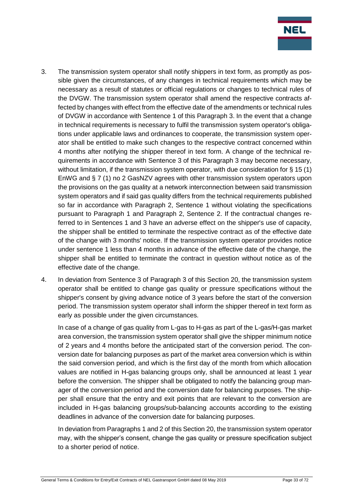

- 3. The transmission system operator shall notify shippers in text form, as promptly as possible given the circumstances, of any changes in technical requirements which may be necessary as a result of statutes or official regulations or changes to technical rules of the DVGW. The transmission system operator shall amend the respective contracts affected by changes with effect from the effective date of the amendments or technical rules of DVGW in accordance with Sentence 1 of this Paragraph 3. In the event that a change in technical requirements is necessary to fulfil the transmission system operator's obligations under applicable laws and ordinances to cooperate, the transmission system operator shall be entitled to make such changes to the respective contract concerned within 4 months after notifying the shipper thereof in text form. A change of the technical requirements in accordance with Sentence 3 of this Paragraph 3 may become necessary, without limitation, if the transmission system operator, with due consideration for § 15 (1) EnWG and § 7 (1) no 2 GasNZV agrees with other transmission system operators upon the provisions on the gas quality at a network interconnection between said transmission system operators and if said gas quality differs from the technical requirements published so far in accordance with Paragraph 2, Sentence 1 without violating the specifications pursuant to Paragraph 1 and Paragraph 2, Sentence 2. If the contractual changes referred to in Sentences 1 and 3 have an adverse effect on the shipper's use of capacity, the shipper shall be entitled to terminate the respective contract as of the effective date of the change with 3 months' notice. If the transmission system operator provides notice under sentence 1 less than 4 months in advance of the effective date of the change, the shipper shall be entitled to terminate the contract in question without notice as of the effective date of the change.
- 4. In deviation from Sentence 3 of Paragraph 3 of this Section 20, the transmission system operator shall be entitled to change gas quality or pressure specifications without the shipper's consent by giving advance notice of 3 years before the start of the conversion period. The transmission system operator shall inform the shipper thereof in text form as early as possible under the given circumstances.

In case of a change of gas quality from L-gas to H-gas as part of the L-gas/H-gas market area conversion, the transmission system operator shall give the shipper minimum notice of 2 years and 4 months before the anticipated start of the conversion period. The conversion date for balancing purposes as part of the market area conversion which is within the said conversion period, and which is the first day of the month from which allocation values are notified in H-gas balancing groups only, shall be announced at least 1 year before the conversion. The shipper shall be obligated to notify the balancing group manager of the conversion period and the conversion date for balancing purposes. The shipper shall ensure that the entry and exit points that are relevant to the conversion are included in H-gas balancing groups/sub-balancing accounts according to the existing deadlines in advance of the conversion date for balancing purposes.

In deviation from Paragraphs 1 and 2 of this Section 20, the transmission system operator may, with the shipper's consent, change the gas quality or pressure specification subject to a shorter period of notice.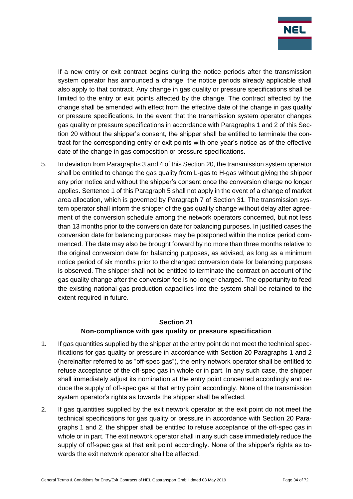

If a new entry or exit contract begins during the notice periods after the transmission system operator has announced a change, the notice periods already applicable shall also apply to that contract. Any change in gas quality or pressure specifications shall be limited to the entry or exit points affected by the change. The contract affected by the change shall be amended with effect from the effective date of the change in gas quality or pressure specifications. In the event that the transmission system operator changes gas quality or pressure specifications in accordance with Paragraphs 1 and 2 of this Section 20 without the shipper's consent, the shipper shall be entitled to terminate the contract for the corresponding entry or exit points with one year's notice as of the effective date of the change in gas composition or pressure specifications.

5. In deviation from Paragraphs 3 and 4 of this Section 20, the transmission system operator shall be entitled to change the gas quality from L-gas to H-gas without giving the shipper any prior notice and without the shipper's consent once the conversion charge no longer applies. Sentence 1 of this Paragraph 5 shall not apply in the event of a change of market area allocation, which is governed by Paragraph 7 of Section 31. The transmission system operator shall inform the shipper of the gas quality change without delay after agreement of the conversion schedule among the network operators concerned, but not less than 13 months prior to the conversion date for balancing purposes. In justified cases the conversion date for balancing purposes may be postponed within the notice period commenced. The date may also be brought forward by no more than three months relative to the original conversion date for balancing purposes, as advised, as long as a minimum notice period of six months prior to the changed conversion date for balancing purposes is observed. The shipper shall not be entitled to terminate the contract on account of the gas quality change after the conversion fee is no longer charged. The opportunity to feed the existing national gas production capacities into the system shall be retained to the extent required in future.

## **Section 21 Non-compliance with gas quality or pressure specification**

- <span id="page-33-0"></span>1. If gas quantities supplied by the shipper at the entry point do not meet the technical specifications for gas quality or pressure in accordance with Section 20 Paragraphs 1 and 2 (hereinafter referred to as "off-spec gas"), the entry network operator shall be entitled to refuse acceptance of the off-spec gas in whole or in part. In any such case, the shipper shall immediately adjust its nomination at the entry point concerned accordingly and reduce the supply of off-spec gas at that entry point accordingly. None of the transmission system operator's rights as towards the shipper shall be affected.
- 2. If gas quantities supplied by the exit network operator at the exit point do not meet the technical specifications for gas quality or pressure in accordance with Section 20 Paragraphs 1 and 2, the shipper shall be entitled to refuse acceptance of the off-spec gas in whole or in part. The exit network operator shall in any such case immediately reduce the supply of off-spec gas at that exit point accordingly. None of the shipper's rights as towards the exit network operator shall be affected.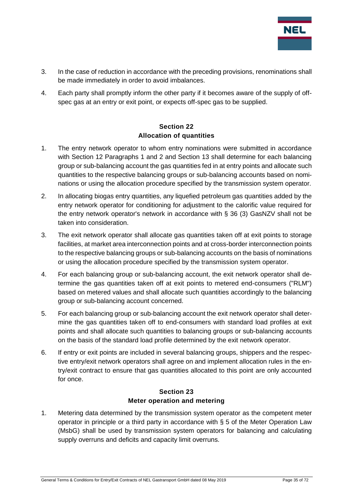

- 3. In the case of reduction in accordance with the preceding provisions, renominations shall be made immediately in order to avoid imbalances.
- 4. Each party shall promptly inform the other party if it becomes aware of the supply of offspec gas at an entry or exit point, or expects off-spec gas to be supplied.

## **Section 22 Allocation of quantities**

- <span id="page-34-0"></span>1. The entry network operator to whom entry nominations were submitted in accordance with Section 12 Paragraphs 1 and 2 and Section 13 shall determine for each balancing group or sub-balancing account the gas quantities fed in at entry points and allocate such quantities to the respective balancing groups or sub-balancing accounts based on nominations or using the allocation procedure specified by the transmission system operator.
- 2. In allocating biogas entry quantities, any liquefied petroleum gas quantities added by the entry network operator for conditioning for adjustment to the calorific value required for the entry network operator's network in accordance with § 36 (3) GasNZV shall not be taken into consideration.
- 3. The exit network operator shall allocate gas quantities taken off at exit points to storage facilities, at market area interconnection points and at cross-border interconnection points to the respective balancing groups or sub-balancing accounts on the basis of nominations or using the allocation procedure specified by the transmission system operator.
- 4. For each balancing group or sub-balancing account, the exit network operator shall determine the gas quantities taken off at exit points to metered end-consumers ("RLM") based on metered values and shall allocate such quantities accordingly to the balancing group or sub-balancing account concerned.
- 5. For each balancing group or sub-balancing account the exit network operator shall determine the gas quantities taken off to end-consumers with standard load profiles at exit points and shall allocate such quantities to balancing groups or sub-balancing accounts on the basis of the standard load profile determined by the exit network operator.
- 6. If entry or exit points are included in several balancing groups, shippers and the respective entry/exit network operators shall agree on and implement allocation rules in the entry/exit contract to ensure that gas quantities allocated to this point are only accounted for once.

#### **Section 23 Meter operation and metering**

<span id="page-34-1"></span>1. Metering data determined by the transmission system operator as the competent meter operator in principle or a third party in accordance with § 5 of the Meter Operation Law (MsbG) shall be used by transmission system operators for balancing and calculating supply overruns and deficits and capacity limit overruns.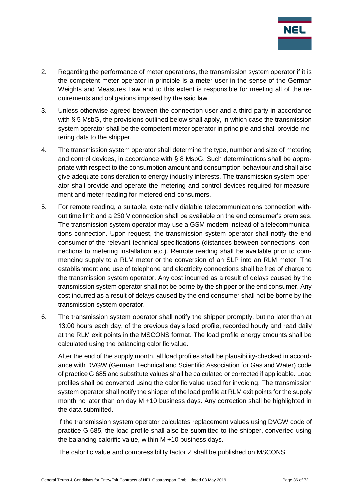

- 2. Regarding the performance of meter operations, the transmission system operator if it is the competent meter operator in principle is a meter user in the sense of the German Weights and Measures Law and to this extent is responsible for meeting all of the requirements and obligations imposed by the said law.
- 3. Unless otherwise agreed between the connection user and a third party in accordance with § 5 MsbG, the provisions outlined below shall apply, in which case the transmission system operator shall be the competent meter operator in principle and shall provide metering data to the shipper.
- 4. The transmission system operator shall determine the type, number and size of metering and control devices, in accordance with § 8 MsbG. Such determinations shall be appropriate with respect to the consumption amount and consumption behaviour and shall also give adequate consideration to energy industry interests. The transmission system operator shall provide and operate the metering and control devices required for measurement and meter reading for metered end-consumers.
- 5. For remote reading, a suitable, externally dialable telecommunications connection without time limit and a 230 V connection shall be available on the end consumer's premises. The transmission system operator may use a GSM modem instead of a telecommunications connection. Upon request, the transmission system operator shall notify the end consumer of the relevant technical specifications (distances between connections, connections to metering installation etc.). Remote reading shall be available prior to commencing supply to a RLM meter or the conversion of an SLP into an RLM meter. The establishment and use of telephone and electricity connections shall be free of charge to the transmission system operator. Any cost incurred as a result of delays caused by the transmission system operator shall not be borne by the shipper or the end consumer. Any cost incurred as a result of delays caused by the end consumer shall not be borne by the transmission system operator.
- 6. The transmission system operator shall notify the shipper promptly, but no later than at 13:00 hours each day, of the previous day's load profile, recorded hourly and read daily at the RLM exit points in the MSCONS format. The load profile energy amounts shall be calculated using the balancing calorific value.

After the end of the supply month, all load profiles shall be plausibility-checked in accordance with DVGW (German Technical and Scientific Association for Gas and Water) code of practice G 685 and substitute values shall be calculated or corrected if applicable. Load profiles shall be converted using the calorific value used for invoicing. The transmission system operator shall notify the shipper of the load profile at RLM exit points for the supply month no later than on day M +10 business days. Any correction shall be highlighted in the data submitted.

If the transmission system operator calculates replacement values using DVGW code of practice G 685, the load profile shall also be submitted to the shipper, converted using the balancing calorific value, within M +10 business days.

The calorific value and compressibility factor Z shall be published on MSCONS.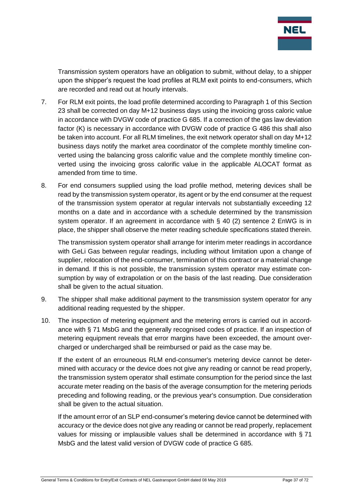

Transmission system operators have an obligation to submit, without delay, to a shipper upon the shipper's request the load profiles at RLM exit points to end-consumers, which are recorded and read out at hourly intervals.

- 7. For RLM exit points, the load profile determined according to Paragraph 1 of this Section 23 shall be corrected on day M+12 business days using the invoicing gross caloric value in accordance with DVGW code of practice G 685. If a correction of the gas law deviation factor (K) is necessary in accordance with DVGW code of practice G 486 this shall also be taken into account. For all RLM timelines, the exit network operator shall on day M+12 business days notify the market area coordinator of the complete monthly timeline converted using the balancing gross calorific value and the complete monthly timeline converted using the invoicing gross calorific value in the applicable ALOCAT format as amended from time to time.
- 8. For end consumers supplied using the load profile method, metering devices shall be read by the transmission system operator, its agent or by the end consumer at the request of the transmission system operator at regular intervals not substantially exceeding 12 months on a date and in accordance with a schedule determined by the transmission system operator. If an agreement in accordance with § 40 (2) sentence 2 EnWG is in place, the shipper shall observe the meter reading schedule specifications stated therein.

The transmission system operator shall arrange for interim meter readings in accordance with GeLi Gas between regular readings, including without limitation upon a change of supplier, relocation of the end-consumer, termination of this contract or a material change in demand. If this is not possible, the transmission system operator may estimate consumption by way of extrapolation or on the basis of the last reading. Due consideration shall be given to the actual situation.

- 9. The shipper shall make additional payment to the transmission system operator for any additional reading requested by the shipper.
- 10. The inspection of metering equipment and the metering errors is carried out in accordance with § 71 MsbG and the generally recognised codes of practice. If an inspection of metering equipment reveals that error margins have been exceeded, the amount overcharged or undercharged shall be reimbursed or paid as the case may be.

If the extent of an errouneous RLM end-consumer's metering device cannot be determined with accuracy or the device does not give any reading or cannot be read properly, the transmission system operator shall estimate consumption for the period since the last accurate meter reading on the basis of the average consumption for the metering periods preceding and following reading, or the previous year's consumption. Due consideration shall be given to the actual situation.

If the amount error of an SLP end-consumer's metering device cannot be determined with accuracy or the device does not give any reading or cannot be read properly, replacement values for missing or implausible values shall be determined in accordance with § 71 MsbG and the latest valid version of DVGW code of practice G 685.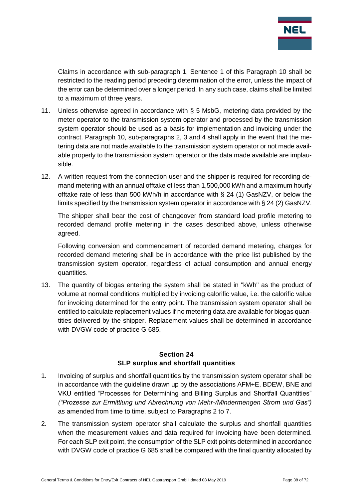

Claims in accordance with sub-paragraph 1, Sentence 1 of this Paragraph 10 shall be restricted to the reading period preceding determination of the error, unless the impact of the error can be determined over a longer period. In any such case, claims shall be limited to a maximum of three years.

- 11. Unless otherwise agreed in accordance with § 5 MsbG, metering data provided by the meter operator to the transmission system operator and processed by the transmission system operator should be used as a basis for implementation and invoicing under the contract. Paragraph 10, sub-paragraphs 2, 3 and 4 shall apply in the event that the metering data are not made available to the transmission system operator or not made available properly to the transmission system operator or the data made available are implausible.
- 12. A written request from the connection user and the shipper is required for recording demand metering with an annual offtake of less than 1,500,000 kWh and a maximum hourly offtake rate of less than 500 kWh/h in accordance with § 24 (1) GasNZV, or below the limits specified by the transmission system operator in accordance with § 24 (2) GasNZV.

The shipper shall bear the cost of changeover from standard load profile metering to recorded demand profile metering in the cases described above, unless otherwise agreed.

Following conversion and commencement of recorded demand metering, charges for recorded demand metering shall be in accordance with the price list published by the transmission system operator, regardless of actual consumption and annual energy quantities.

13. The quantity of biogas entering the system shall be stated in "kWh" as the product of volume at normal conditions multiplied by invoicing calorific value, i.e. the calorific value for invoicing determined for the entry point. The transmission system operator shall be entitled to calculate replacement values if no metering data are available for biogas quantities delivered by the shipper. Replacement values shall be determined in accordance with DVGW code of practice G 685.

### **Section 24 SLP surplus and shortfall quantities**

- 1. Invoicing of surplus and shortfall quantities by the transmission system operator shall be in accordance with the guideline drawn up by the associations AFM+E, BDEW, BNE and VKU entitled "Processes for Determining and Billing Surplus and Shortfall Quantities" *("Prozesse zur Ermittlung und Abrechnung von Mehr-/Mindermengen Strom und Gas")* as amended from time to time, subject to Paragraphs 2 to 7.
- 2. The transmission system operator shall calculate the surplus and shortfall quantities when the measurement values and data required for invoicing have been determined. For each SLP exit point, the consumption of the SLP exit points determined in accordance with DVGW code of practice G 685 shall be compared with the final quantity allocated by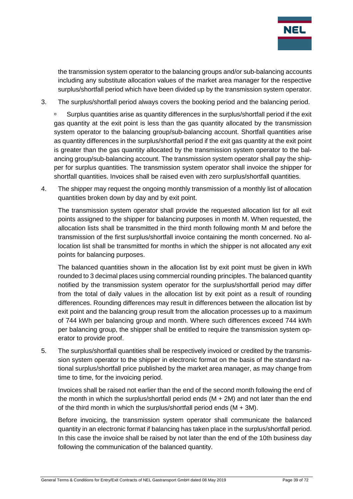

the transmission system operator to the balancing groups and/or sub-balancing accounts including any substitute allocation values of the market area manager for the respective surplus/shortfall period which have been divided up by the transmission system operator.

3. The surplus/shortfall period always covers the booking period and the balancing period.

□ Surplus quantities arise as quantity differences in the surplus/shortfall period if the exit gas quantity at the exit point is less than the gas quantity allocated by the transmission system operator to the balancing group/sub-balancing account. Shortfall quantities arise as quantity differences in the surplus/shortfall period if the exit gas quantity at the exit point is greater than the gas quantity allocated by the transmission system operator to the balancing group/sub-balancing account. The transmission system operator shall pay the shipper for surplus quantities. The transmission system operator shall invoice the shipper for shortfall quantities. Invoices shall be raised even with zero surplus/shortfall quantities.

4. The shipper may request the ongoing monthly transmission of a monthly list of allocation quantities broken down by day and by exit point.

The transmission system operator shall provide the requested allocation list for all exit points assigned to the shipper for balancing purposes in month M. When requested, the allocation lists shall be transmitted in the third month following month M and before the transmission of the first surplus/shortfall invoice containing the month concerned. No allocation list shall be transmitted for months in which the shipper is not allocated any exit points for balancing purposes.

The balanced quantities shown in the allocation list by exit point must be given in kWh rounded to 3 decimal places using commercial rounding principles. The balanced quantity notified by the transmission system operator for the surplus/shortfall period may differ from the total of daily values in the allocation list by exit point as a result of rounding differences. Rounding differences may result in differences between the allocation list by exit point and the balancing group result from the allocation processes up to a maximum of 744 kWh per balancing group and month. Where such differences exceed 744 kWh per balancing group, the shipper shall be entitled to require the transmission system operator to provide proof.

5. The surplus/shortfall quantities shall be respectively invoiced or credited by the transmission system operator to the shipper in electronic format on the basis of the standard national surplus/shortfall price published by the market area manager, as may change from time to time, for the invoicing period.

Invoices shall be raised not earlier than the end of the second month following the end of the month in which the surplus/shortfall period ends  $(M + 2M)$  and not later than the end of the third month in which the surplus/shortfall period ends  $(M + 3M)$ .

Before invoicing, the transmission system operator shall communicate the balanced quantity in an electronic format if balancing has taken place in the surplus/shortfall period. In this case the invoice shall be raised by not later than the end of the 10th business day following the communication of the balanced quantity.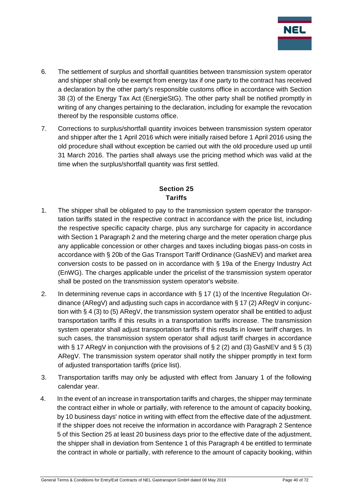

- 6. The settlement of surplus and shortfall quantities between transmission system operator and shipper shall only be exempt from energy tax if one party to the contract has received a declaration by the other party's responsible customs office in accordance with Section 38 (3) of the Energy Tax Act (EnergieStG). The other party shall be notified promptly in writing of any changes pertaining to the declaration, including for example the revocation thereof by the responsible customs office.
- 7. Corrections to surplus/shortfall quantity invoices between transmission system operator and shipper after the 1 April 2016 which were initially raised before 1 April 2016 using the old procedure shall without exception be carried out with the old procedure used up until 31 March 2016. The parties shall always use the pricing method which was valid at the time when the surplus/shortfall quantity was first settled.

# **Section 25 Tariffs**

- 1. The shipper shall be obligated to pay to the transmission system operator the transportation tariffs stated in the respective contract in accordance with the price list, including the respective specific capacity charge, plus any surcharge for capacity in accordance with Section 1 Paragraph 2 and the metering charge and the meter operation charge plus any applicable concession or other charges and taxes including biogas pass-on costs in accordance with § 20b of the Gas Transport Tariff Ordinance (GasNEV) and market area conversion costs to be passed on in accordance with § 19a of the Energy Industry Act (EnWG). The charges applicable under the pricelist of the transmission system operator shall be posted on the transmission system operator's website.
- 2. In determining revenue caps in accordance with § 17 (1) of the Incentive Regulation Ordinance (ARegV) and adjusting such caps in accordance with  $\S 17 (2)$  ARegV in conjunction with § 4 (3) to (5) ARegV, the transmission system operator shall be entitled to adjust transportation tariffs if this results in a transportation tariffs increase. The transmission system operator shall adjust transportation tariffs if this results in lower tariff charges. In such cases, the transmission system operator shall adjust tariff charges in accordance with § 17 ARegV in conjunction with the provisions of § 2 (2) and (3) GasNEV and § 5 (3) ARegV. The transmission system operator shall notify the shipper promptly in text form of adjusted transportation tariffs (price list).
- 3. Transportation tariffs may only be adjusted with effect from January 1 of the following calendar year.
- 4. In the event of an increase in transportation tariffs and charges, the shipper may terminate the contract either in whole or partially, with reference to the amount of capacity booking, by 10 business days' notice in writing with effect from the effective date of the adjustment. If the shipper does not receive the information in accordance with Paragraph 2 Sentence 5 of this Section 25 at least 20 business days prior to the effective date of the adjustment, the shipper shall in deviation from Sentence 1 of this Paragraph 4 be entitled to terminate the contract in whole or partially, with reference to the amount of capacity booking, within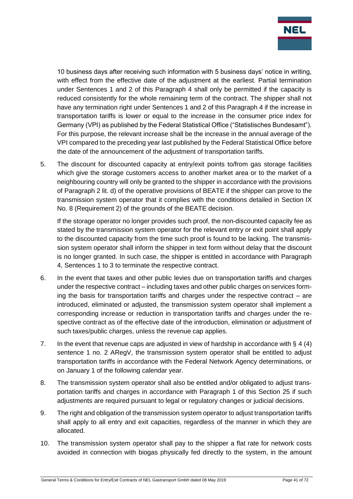

10 business days after receiving such information with 5 business days' notice in writing, with effect from the effective date of the adjustment at the earliest. Partial termination under Sentences 1 and 2 of this Paragraph 4 shall only be permitted if the capacity is reduced consistently for the whole remaining term of the contract. The shipper shall not have any termination right under Sentences 1 and 2 of this Paragraph 4 if the increase in transportation tariffs is lower or equal to the increase in the consumer price index for Germany (VPI) as published by the Federal Statistical Office ("Statistisches Bundesamt"). For this purpose, the relevant increase shall be the increase in the annual average of the VPI compared to the preceding year last published by the Federal Statistical Office before the date of the announcement of the adjustment of transportation tariffs.

5. The discount for discounted capacity at entry/exit points to/from gas storage facilities which give the storage customers access to another market area or to the market of a neighbouring country will only be granted to the shipper in accordance with the provisions of Paragraph 2 lit. d) of the operative provisions of BEATE if the shipper can prove to the transmission system operator that it complies with the conditions detailed in Section IX No. 8 (Requirement 2) of the grounds of the BEATE decision.

If the storage operator no longer provides such proof, the non-discounted capacity fee as stated by the transmission system operator for the relevant entry or exit point shall apply to the discounted capacity from the time such proof is found to be lacking. The transmission system operator shall inform the shipper in text form without delay that the discount is no longer granted. In such case, the shipper is entitled in accordance with Paragraph 4, Sentences 1 to 3 to terminate the respective contract.

- 6. In the event that taxes and other public levies due on transportation tariffs and charges under the respective contract – including taxes and other public charges on services forming the basis for transportation tariffs and charges under the respective contract – are introduced, eliminated or adjusted, the transmission system operator shall implement a corresponding increase or reduction in transportation tariffs and charges under the respective contract as of the effective date of the introduction, elimination or adjustment of such taxes/public charges, unless the revenue cap applies.
- 7. In the event that revenue caps are adjusted in view of hardship in accordance with  $\S 4 (4)$ sentence 1 no. 2 ARegV, the transmission system operator shall be entitled to adjust transportation tariffs in accordance with the Federal Network Agency determinations, or on January 1 of the following calendar year.
- 8. The transmission system operator shall also be entitled and/or obligated to adjust transportation tariffs and charges in accordance with Paragraph 1 of this Section 25 if such adjustments are required pursuant to legal or regulatory changes or judicial decisions.
- 9. The right and obligation of the transmission system operator to adjust transportation tariffs shall apply to all entry and exit capacities, regardless of the manner in which they are allocated.
- 10. The transmission system operator shall pay to the shipper a flat rate for network costs avoided in connection with biogas physically fed directly to the system, in the amount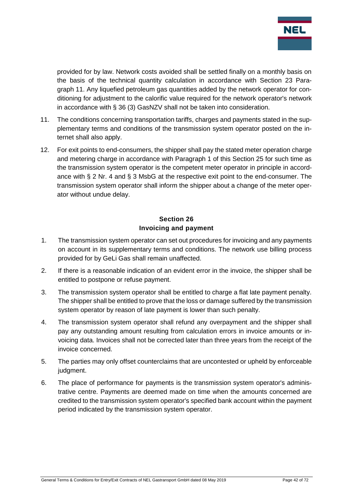

provided for by law. Network costs avoided shall be settled finally on a monthly basis on the basis of the technical quantity calculation in accordance with Section 23 Paragraph 11. Any liquefied petroleum gas quantities added by the network operator for conditioning for adjustment to the calorific value required for the network operator's network in accordance with § 36 (3) GasNZV shall not be taken into consideration.

- 11. The conditions concerning transportation tariffs, charges and payments stated in the supplementary terms and conditions of the transmission system operator posted on the internet shall also apply.
- 12. For exit points to end-consumers, the shipper shall pay the stated meter operation charge and metering charge in accordance with Paragraph 1 of this Section 25 for such time as the transmission system operator is the competent meter operator in principle in accordance with § 2 Nr. 4 and § 3 MsbG at the respective exit point to the end-consumer. The transmission system operator shall inform the shipper about a change of the meter operator without undue delay.

## **Section 26 Invoicing and payment**

- 1. The transmission system operator can set out procedures for invoicing and any payments on account in its supplementary terms and conditions. The network use billing process provided for by GeLi Gas shall remain unaffected.
- 2. If there is a reasonable indication of an evident error in the invoice, the shipper shall be entitled to postpone or refuse payment.
- 3. The transmission system operator shall be entitled to charge a flat late payment penalty. The shipper shall be entitled to prove that the loss or damage suffered by the transmission system operator by reason of late payment is lower than such penalty.
- 4. The transmission system operator shall refund any overpayment and the shipper shall pay any outstanding amount resulting from calculation errors in invoice amounts or invoicing data. Invoices shall not be corrected later than three years from the receipt of the invoice concerned.
- 5. The parties may only offset counterclaims that are uncontested or upheld by enforceable judgment.
- 6. The place of performance for payments is the transmission system operator's administrative centre. Payments are deemed made on time when the amounts concerned are credited to the transmission system operator's specified bank account within the payment period indicated by the transmission system operator.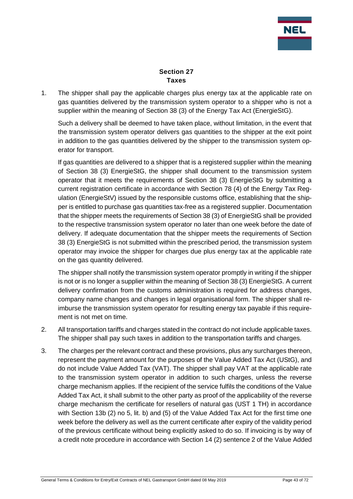

#### **Section 27 Taxes**

1. The shipper shall pay the applicable charges plus energy tax at the applicable rate on gas quantities delivered by the transmission system operator to a shipper who is not a supplier within the meaning of Section 38 (3) of the Energy Tax Act (EnergieStG).

Such a delivery shall be deemed to have taken place, without limitation, in the event that the transmission system operator delivers gas quantities to the shipper at the exit point in addition to the gas quantities delivered by the shipper to the transmission system operator for transport.

If gas quantities are delivered to a shipper that is a registered supplier within the meaning of Section 38 (3) EnergieStG, the shipper shall document to the transmission system operator that it meets the requirements of Section 38 (3) EnergieStG by submitting a current registration certificate in accordance with Section 78 (4) of the Energy Tax Regulation (EnergieStV) issued by the responsible customs office, establishing that the shipper is entitled to purchase gas quantities tax-free as a registered supplier. Documentation that the shipper meets the requirements of Section 38 (3) of EnergieStG shall be provided to the respective transmission system operator no later than one week before the date of delivery. If adequate documentation that the shipper meets the requirements of Section 38 (3) EnergieStG is not submitted within the prescribed period, the transmission system operator may invoice the shipper for charges due plus energy tax at the applicable rate on the gas quantity delivered.

The shipper shall notify the transmission system operator promptly in writing if the shipper is not or is no longer a supplier within the meaning of Section 38 (3) EnergieStG. A current delivery confirmation from the customs administration is required for address changes, company name changes and changes in legal organisational form. The shipper shall reimburse the transmission system operator for resulting energy tax payable if this requirement is not met on time.

- 2. All transportation tariffs and charges stated in the contract do not include applicable taxes. The shipper shall pay such taxes in addition to the transportation tariffs and charges.
- 3. The charges per the relevant contract and these provisions, plus any surcharges thereon, represent the payment amount for the purposes of the Value Added Tax Act (UStG), and do not include Value Added Tax (VAT). The shipper shall pay VAT at the applicable rate to the transmission system operator in addition to such charges, unless the reverse charge mechanism applies. If the recipient of the service fulfils the conditions of the Value Added Tax Act, it shall submit to the other party as proof of the applicability of the reverse charge mechanism the certificate for resellers of natural gas (UST 1 TH) in accordance with Section 13b (2) no 5, lit. b) and (5) of the Value Added Tax Act for the first time one week before the delivery as well as the current certificate after expiry of the validity period of the previous certificate without being explicitly asked to do so. If invoicing is by way of a credit note procedure in accordance with Section 14 (2) sentence 2 of the Value Added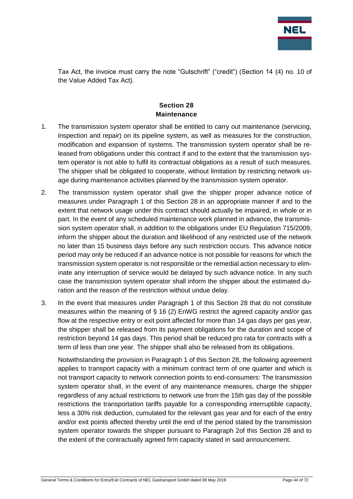

Tax Act, the invoice must carry the note "Gutschrift" ("credit") (Section 14 (4) no. 10 of the Value Added Tax Act).

## **Section 28 Maintenance**

- 1. The transmission system operator shall be entitled to carry out maintenance (servicing, inspection and repair) on its pipeline system, as well as measures for the construction, modification and expansion of systems. The transmission system operator shall be released from obligations under this contract if and to the extent that the transmission system operator is not able to fulfil its contractual obligations as a result of such measures. The shipper shall be obligated to cooperate, without limitation by restricting network usage during maintenance activities planned by the transmission system operator.
- 2. The transmission system operator shall give the shipper proper advance notice of measures under Paragraph 1 of this Section 28 in an appropriate manner if and to the extent that network usage under this contract should actually be impaired, in whole or in part. In the event of any scheduled maintenance work planned in advance, the transmission system operator shall, in addition to the obligations under EU Regulation 715/2009, inform the shipper about the duration and likelihood of any restricted use of the network no later than 15 business days before any such restriction occurs. This advance notice period may only be reduced if an advance notice is not possible for reasons for which the transmission system operator is not responsible or the remedial action necessary to eliminate any interruption of service would be delayed by such advance notice. In any such case the transmission system operator shall inform the shipper about the estimated duration and the reason of the restriction without undue delay.
- 3. In the event that measures under Paragraph 1 of this Section 28 that do not constitute measures within the meaning of § 16 (2) EnWG restrict the agreed capacity and/or gas flow at the respective entry or exit point affected for more than 14 gas days per gas year, the shipper shall be released from its payment obligations for the duration and scope of restriction beyond 14 gas days. This period shall be reduced pro rata for contracts with a term of less than one year. The shipper shall also be released from its obligations.

Notwithstanding the provision in Paragraph 1 of this Section 28, the following agreement applies to transport capacity with a minimum contract term of one quarter and which is not transport capacity to network connection points to end-consumers: The transmission system operator shall, in the event of any maintenance measures, charge the shipper regardless of any actual restrictions to network use from the 15th gas day of the possible restrictions the transportation tariffs payable for a corresponding interruptible capacity, less a 30% risk deduction, cumulated for the relevant gas year and for each of the entry and/or exit points affected thereby until the end of the period stated by the transmission system operator towards the shipper pursuant to Paragraph 2of this Section 28 and to the extent of the contractually agreed firm capacity stated in said announcement.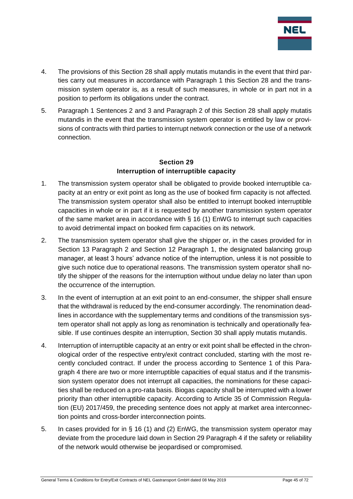

- 4. The provisions of this Section 28 shall apply mutatis mutandis in the event that third parties carry out measures in accordance with Paragraph 1 this Section 28 and the transmission system operator is, as a result of such measures, in whole or in part not in a position to perform its obligations under the contract.
- 5. Paragraph 1 Sentences 2 and 3 and Paragraph 2 of this Section 28 shall apply mutatis mutandis in the event that the transmission system operator is entitled by law or provisions of contracts with third parties to interrupt network connection or the use of a network connection.

### **Section 29 Interruption of interruptible capacity**

- 1. The transmission system operator shall be obligated to provide booked interruptible capacity at an entry or exit point as long as the use of booked firm capacity is not affected. The transmission system operator shall also be entitled to interrupt booked interruptible capacities in whole or in part if it is requested by another transmission system operator of the same market area in accordance with § 16 (1) EnWG to interrupt such capacities to avoid detrimental impact on booked firm capacities on its network.
- 2. The transmission system operator shall give the shipper or, in the cases provided for in Section 13 Paragraph 2 and Section 12 Paragraph 1, the designated balancing group manager, at least 3 hours' advance notice of the interruption, unless it is not possible to give such notice due to operational reasons. The transmission system operator shall notify the shipper of the reasons for the interruption without undue delay no later than upon the occurrence of the interruption.
- 3. In the event of interruption at an exit point to an end-consumer, the shipper shall ensure that the withdrawal is reduced by the end-consumer accordingly. The renomination deadlines in accordance with the supplementary terms and conditions of the transmission system operator shall not apply as long as renomination is technically and operationally feasible. If use continues despite an interruption, Section 30 shall apply mutatis mutandis.
- 4. Interruption of interruptible capacity at an entry or exit point shall be effected in the chronological order of the respective entry/exit contract concluded, starting with the most recently concluded contract. If under the process according to Sentence 1 of this Paragraph 4 there are two or more interruptible capacities of equal status and if the transmission system operator does not interrupt all capacities, the nominations for these capacities shall be reduced on a pro-rata basis. Biogas capacity shall be interrupted with a lower priority than other interruptible capacity. According to Article 35 of Commission Regulation (EU) 2017/459, the preceding sentence does not apply at market area interconnection points and cross-border interconnection points.
- 5. In cases provided for in § 16 (1) and (2) EnWG, the transmission system operator may deviate from the procedure laid down in Section 29 Paragraph 4 if the safety or reliability of the network would otherwise be jeopardised or compromised.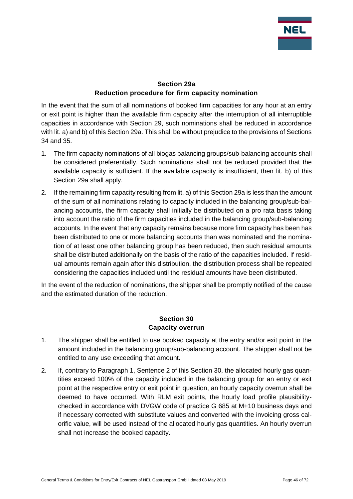

## **Section 29a Reduction procedure for firm capacity nomination**

In the event that the sum of all nominations of booked firm capacities for any hour at an entry or exit point is higher than the available firm capacity after the interruption of all interruptible capacities in accordance with Section 29, such nominations shall be reduced in accordance with lit. a) and b) of this Section 29a. This shall be without prejudice to the provisions of Sections 34 and 35.

- 1. The firm capacity nominations of all biogas balancing groups/sub-balancing accounts shall be considered preferentially. Such nominations shall not be reduced provided that the available capacity is sufficient. If the available capacity is insufficient, then lit. b) of this Section 29a shall apply.
- 2. If the remaining firm capacity resulting from lit. a) of this Section 29a is less than the amount of the sum of all nominations relating to capacity included in the balancing group/sub-balancing accounts, the firm capacity shall initially be distributed on a pro rata basis taking into account the ratio of the firm capacities included in the balancing group/sub-balancing accounts. In the event that any capacity remains because more firm capacity has been has been distributed to one or more balancing accounts than was nominated and the nomination of at least one other balancing group has been reduced, then such residual amounts shall be distributed additionally on the basis of the ratio of the capacities included. If residual amounts remain again after this distribution, the distribution process shall be repeated considering the capacities included until the residual amounts have been distributed.

In the event of the reduction of nominations, the shipper shall be promptly notified of the cause and the estimated duration of the reduction.

### **Section 30 Capacity overrun**

- 1. The shipper shall be entitled to use booked capacity at the entry and/or exit point in the amount included in the balancing group/sub-balancing account. The shipper shall not be entitled to any use exceeding that amount.
- 2. If, contrary to Paragraph 1, Sentence 2 of this Section 30, the allocated hourly gas quantities exceed 100% of the capacity included in the balancing group for an entry or exit point at the respective entry or exit point in question, an hourly capacity overrun shall be deemed to have occurred. With RLM exit points, the hourly load profile plausibilitychecked in accordance with DVGW code of practice G 685 at M+10 business days and if necessary corrected with substitute values and converted with the invoicing gross calorific value, will be used instead of the allocated hourly gas quantities. An hourly overrun shall not increase the booked capacity.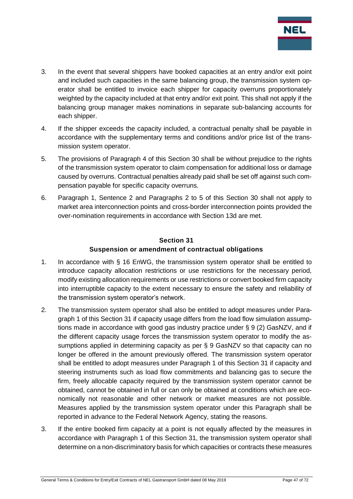

- 3. In the event that several shippers have booked capacities at an entry and/or exit point and included such capacities in the same balancing group, the transmission system operator shall be entitled to invoice each shipper for capacity overruns proportionately weighted by the capacity included at that entry and/or exit point. This shall not apply if the balancing group manager makes nominations in separate sub-balancing accounts for each shipper.
- 4. If the shipper exceeds the capacity included, a contractual penalty shall be payable in accordance with the supplementary terms and conditions and/or price list of the transmission system operator.
- 5. The provisions of Paragraph 4 of this Section 30 shall be without prejudice to the rights of the transmission system operator to claim compensation for additional loss or damage caused by overruns. Contractual penalties already paid shall be set off against such compensation payable for specific capacity overruns.
- 6. Paragraph 1, Sentence 2 and Paragraphs 2 to 5 of this Section 30 shall not apply to market area interconnection points and cross-border interconnection points provided the over-nomination requirements in accordance with Section 13d are met.

# **Section 31 Suspension or amendment of contractual obligations**

- 1. In accordance with § 16 EnWG, the transmission system operator shall be entitled to introduce capacity allocation restrictions or use restrictions for the necessary period, modify existing allocation requirements or use restrictions or convert booked firm capacity into interruptible capacity to the extent necessary to ensure the safety and reliability of the transmission system operator's network.
- 2. The transmission system operator shall also be entitled to adopt measures under Paragraph 1 of this Section 31 if capacity usage differs from the load flow simulation assumptions made in accordance with good gas industry practice under § 9 (2) GasNZV, and if the different capacity usage forces the transmission system operator to modify the assumptions applied in determining capacity as per § 9 GasNZV so that capacity can no longer be offered in the amount previously offered. The transmission system operator shall be entitled to adopt measures under Paragraph 1 of this Section 31 if capacity and steering instruments such as load flow commitments and balancing gas to secure the firm, freely allocable capacity required by the transmission system operator cannot be obtained, cannot be obtained in full or can only be obtained at conditions which are economically not reasonable and other network or market measures are not possible. Measures applied by the transmission system operator under this Paragraph shall be reported in advance to the Federal Network Agency, stating the reasons.
- 3. If the entire booked firm capacity at a point is not equally affected by the measures in accordance with Paragraph 1 of this Section 31, the transmission system operator shall determine on a non-discriminatory basis for which capacities or contracts these measures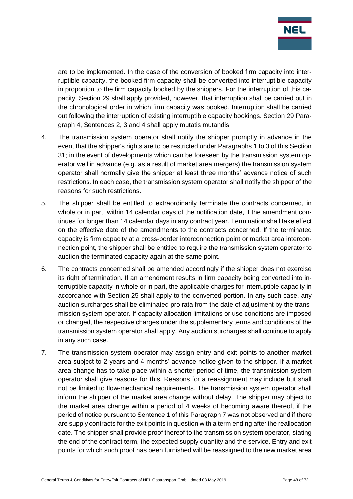

are to be implemented. In the case of the conversion of booked firm capacity into interruptible capacity, the booked firm capacity shall be converted into interruptible capacity in proportion to the firm capacity booked by the shippers. For the interruption of this capacity, Section 29 shall apply provided, however, that interruption shall be carried out in the chronological order in which firm capacity was booked. Interruption shall be carried out following the interruption of existing interruptible capacity bookings. Section 29 Paragraph 4, Sentences 2, 3 and 4 shall apply mutatis mutandis.

- 4. The transmission system operator shall notify the shipper promptly in advance in the event that the shipper's rights are to be restricted under Paragraphs 1 to 3 of this Section 31; in the event of developments which can be foreseen by the transmission system operator well in advance (e.g. as a result of market area mergers) the transmission system operator shall normally give the shipper at least three months' advance notice of such restrictions. In each case, the transmission system operator shall notify the shipper of the reasons for such restrictions.
- 5. The shipper shall be entitled to extraordinarily terminate the contracts concerned, in whole or in part, within 14 calendar days of the notification date, if the amendment continues for longer than 14 calendar days in any contract year. Termination shall take effect on the effective date of the amendments to the contracts concerned. If the terminated capacity is firm capacity at a cross-border interconnection point or market area interconnection point, the shipper shall be entitled to require the transmission system operator to auction the terminated capacity again at the same point.
- 6. The contracts concerned shall be amended accordingly if the shipper does not exercise its right of termination. If an amendment results in firm capacity being converted into interruptible capacity in whole or in part, the applicable charges for interruptible capacity in accordance with Section 25 shall apply to the converted portion. In any such case, any auction surcharges shall be eliminated pro rata from the date of adjustment by the transmission system operator. If capacity allocation limitations or use conditions are imposed or changed, the respective charges under the supplementary terms and conditions of the transmission system operator shall apply. Any auction surcharges shall continue to apply in any such case.
- 7. The transmission system operator may assign entry and exit points to another market area subject to 2 years and 4 months' advance notice given to the shipper. If a market area change has to take place within a shorter period of time, the transmission system operator shall give reasons for this. Reasons for a reassignment may include but shall not be limited to flow-mechanical requirements. The transmission system operator shall inform the shipper of the market area change without delay. The shipper may object to the market area change within a period of 4 weeks of becoming aware thereof, if the period of notice pursuant to Sentence 1 of this Paragraph 7 was not observed and if there are supply contracts for the exit points in question with a term ending after the reallocation date. The shipper shall provide proof thereof to the transmission system operator, stating the end of the contract term, the expected supply quantity and the service. Entry and exit points for which such proof has been furnished will be reassigned to the new market area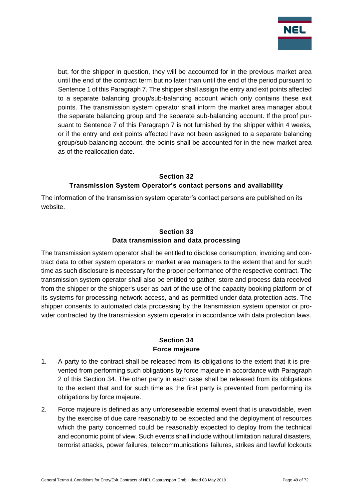

but, for the shipper in question, they will be accounted for in the previous market area until the end of the contract term but no later than until the end of the period pursuant to Sentence 1 of this Paragraph 7. The shipper shall assign the entry and exit points affected to a separate balancing group/sub-balancing account which only contains these exit points. The transmission system operator shall inform the market area manager about the separate balancing group and the separate sub-balancing account. If the proof pursuant to Sentence 7 of this Paragraph 7 is not furnished by the shipper within 4 weeks, or if the entry and exit points affected have not been assigned to a separate balancing group/sub-balancing account, the points shall be accounted for in the new market area as of the reallocation date.

### **Section 32 Transmission System Operator's contact persons and availability**

The information of the transmission system operator's contact persons are published on its website.

## **Section 33 Data transmission and data processing**

The transmission system operator shall be entitled to disclose consumption, invoicing and contract data to other system operators or market area managers to the extent that and for such time as such disclosure is necessary for the proper performance of the respective contract. The transmission system operator shall also be entitled to gather, store and process data received from the shipper or the shipper's user as part of the use of the capacity booking platform or of its systems for processing network access, and as permitted under data protection acts. The shipper consents to automated data processing by the transmission system operator or provider contracted by the transmission system operator in accordance with data protection laws.

### **Section 34 Force majeure**

- 1. A party to the contract shall be released from its obligations to the extent that it is prevented from performing such obligations by force majeure in accordance with Paragraph 2 of this Section 34. The other party in each case shall be released from its obligations to the extent that and for such time as the first party is prevented from performing its obligations by force majeure.
- 2. Force majeure is defined as any unforeseeable external event that is unavoidable, even by the exercise of due care reasonably to be expected and the deployment of resources which the party concerned could be reasonably expected to deploy from the technical and economic point of view. Such events shall include without limitation natural disasters, terrorist attacks, power failures, telecommunications failures, strikes and lawful lockouts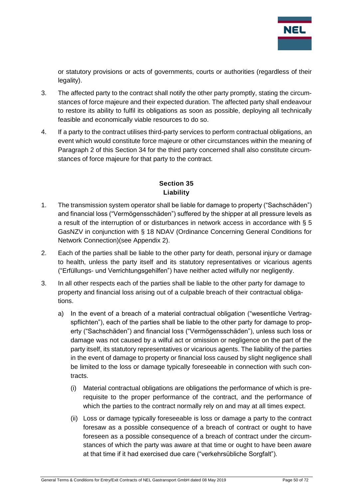

or statutory provisions or acts of governments, courts or authorities (regardless of their legality).

- 3. The affected party to the contract shall notify the other party promptly, stating the circumstances of force majeure and their expected duration. The affected party shall endeavour to restore its ability to fulfil its obligations as soon as possible, deploying all technically feasible and economically viable resources to do so.
- 4. If a party to the contract utilises third-party services to perform contractual obligations, an event which would constitute force majeure or other circumstances within the meaning of Paragraph 2 of this Section 34 for the third party concerned shall also constitute circumstances of force majeure for that party to the contract.

# **Section 35 Liability**

- 1. The transmission system operator shall be liable for damage to property ("Sachschäden") and financial loss ("Vermögensschäden") suffered by the shipper at all pressure levels as a result of the interruption of or disturbances in network access in accordance with § 5 GasNZV in conjunction with § 18 NDAV (Ordinance Concerning General Conditions for Network Connection)(see Appendix 2).
- 2. Each of the parties shall be liable to the other party for death, personal injury or damage to health, unless the party itself and its statutory representatives or vicarious agents ("Erfüllungs- und Verrichtungsgehilfen") have neither acted wilfully nor negligently.
- 3. In all other respects each of the parties shall be liable to the other party for damage to property and financial loss arising out of a culpable breach of their contractual obligations.
	- a) In the event of a breach of a material contractual obligation ("wesentliche Vertragspflichten"), each of the parties shall be liable to the other party for damage to property ("Sachschäden") and financial loss ("Vermögensschäden"), unless such loss or damage was not caused by a wilful act or omission or negligence on the part of the party itself, its statutory representatives or vicarious agents. The liability of the parties in the event of damage to property or financial loss caused by slight negligence shall be limited to the loss or damage typically foreseeable in connection with such contracts.
		- (i) Material contractual obligations are obligations the performance of which is prerequisite to the proper performance of the contract, and the performance of which the parties to the contract normally rely on and may at all times expect.
		- (ii) Loss or damage typically foreseeable is loss or damage a party to the contract foresaw as a possible consequence of a breach of contract or ought to have foreseen as a possible consequence of a breach of contract under the circumstances of which the party was aware at that time or ought to have been aware at that time if it had exercised due care ("verkehrsübliche Sorgfalt").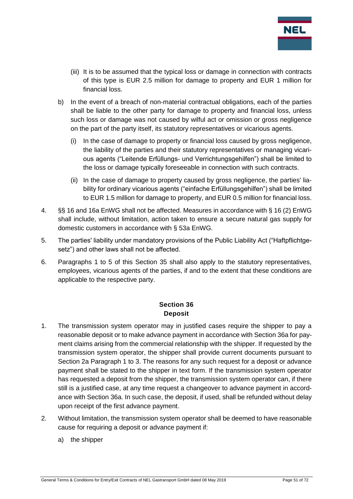

- (iii) It is to be assumed that the typical loss or damage in connection with contracts of this type is EUR 2.5 million for damage to property and EUR 1 million for financial loss.
- b) In the event of a breach of non-material contractual obligations, each of the parties shall be liable to the other party for damage to property and financial loss, unless such loss or damage was not caused by wilful act or omission or gross negligence on the part of the party itself, its statutory representatives or vicarious agents.
	- (i) In the case of damage to property or financial loss caused by gross negligence, the liability of the parties and their statutory representatives or managing vicarious agents ("Leitende Erfüllungs- und Verrichtungsgehilfen") shall be limited to the loss or damage typically foreseeable in connection with such contracts.
	- (ii) In the case of damage to property caused by gross negligence, the parties' liability for ordinary vicarious agents ("einfache Erfüllungsgehilfen") shall be limited to EUR 1.5 million for damage to property, and EUR 0.5 million for financial loss.
- 4. §§ 16 and 16a EnWG shall not be affected. Measures in accordance with § 16 (2) EnWG shall include, without limitation, action taken to ensure a secure natural gas supply for domestic customers in accordance with § 53a EnWG.
- 5. The parties' liability under mandatory provisions of the Public Liability Act ("Haftpflichtgesetz") and other laws shall not be affected.
- 6. Paragraphs 1 to 5 of this Section 35 shall also apply to the statutory representatives, employees, vicarious agents of the parties, if and to the extent that these conditions are applicable to the respective party.

## **Section 36 Deposit**

- 1. The transmission system operator may in justified cases require the shipper to pay a reasonable deposit or to make advance payment in accordance with Section 36a for payment claims arising from the commercial relationship with the shipper. If requested by the transmission system operator, the shipper shall provide current documents pursuant to Section 2a Paragraph 1 to 3. The reasons for any such request for a deposit or advance payment shall be stated to the shipper in text form. If the transmission system operator has requested a deposit from the shipper, the transmission system operator can, if there still is a justified case, at any time request a changeover to advance payment in accordance with Section 36a. In such case, the deposit, if used, shall be refunded without delay upon receipt of the first advance payment.
- 2. Without limitation, the transmission system operator shall be deemed to have reasonable cause for requiring a deposit or advance payment if:
	- a) the shipper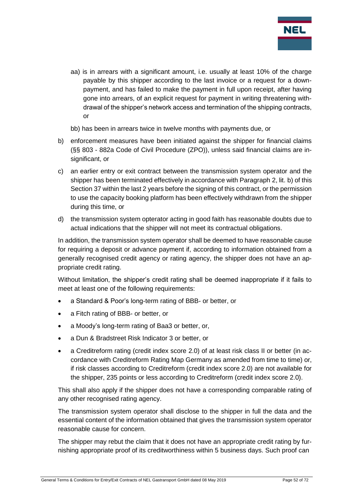

aa) is in arrears with a significant amount, i.e. usually at least 10% of the charge payable by this shipper according to the last invoice or a request for a downpayment, and has failed to make the payment in full upon receipt, after having gone into arrears, of an explicit request for payment in writing threatening withdrawal of the shipper's network access and termination of the shipping contracts, or

bb) has been in arrears twice in twelve months with payments due, or

- b) enforcement measures have been initiated against the shipper for financial claims (§§ 803 - 882a Code of Civil Procedure (ZPO)), unless said financial claims are insignificant, or
- c) an earlier entry or exit contract between the transmission system operator and the shipper has been terminated effectively in accordance with Paragraph 2, lit. b) of this Section 37 within the last 2 years before the signing of this contract, or the permission to use the capacity booking platform has been effectively withdrawn from the shipper during this time, or
- d) the transmission system opterator acting in good faith has reasonable doubts due to actual indications that the shipper will not meet its contractual obligations.

In addition, the transmission system operator shall be deemed to have reasonable cause for requiring a deposit or advance payment if, according to information obtained from a generally recognised credit agency or rating agency, the shipper does not have an appropriate credit rating.

Without limitation, the shipper's credit rating shall be deemed inappropriate if it fails to meet at least one of the following requirements:

- a Standard & Poor's long-term rating of BBB- or better, or
- a Fitch rating of BBB- or better, or
- a Moody's long-term rating of Baa3 or better, or,
- a Dun & Bradstreet Risk Indicator 3 or better, or
- a Creditreform rating (credit index score 2.0) of at least risk class II or better (in accordance with Creditreform Rating Map Germany as amended from time to time) or, if risk classes according to Creditreform (credit index score 2.0) are not available for the shipper, 235 points or less according to Creditreform (credit index score 2.0).

This shall also apply if the shipper does not have a corresponding comparable rating of any other recognised rating agency.

The transmission system operator shall disclose to the shipper in full the data and the essential content of the information obtained that gives the transmission system operator reasonable cause for concern.

The shipper may rebut the claim that it does not have an appropriate credit rating by furnishing appropriate proof of its creditworthiness within 5 business days. Such proof can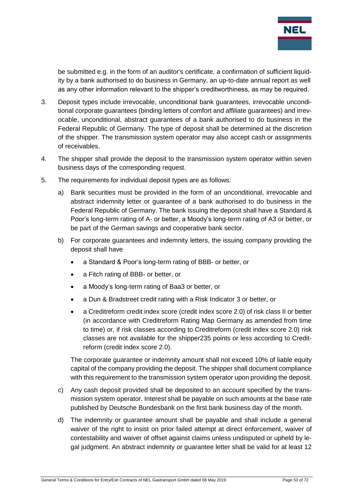

be submitted e.g. in the form of an auditor's certificate, a confirmation of sufficient liquidity by a bank authorised to do business in Germany, an up-to-date annual report as well as any other information relevant to the shipper's creditworthiness, as may be required.

- 3. Deposit types include irrevocable, unconditional bank guarantees, irrevocable unconditional corporate guarantees (binding letters of comfort and affiliate guarantees) and irrevocable, unconditional, abstract guarantees of a bank authorised to do business in the Federal Republic of Germany. The type of deposit shall be determined at the discretion of the shipper. The transmission system operator may also accept cash or assignments of receivables.
- 4. The shipper shall provide the deposit to the transmission system operator within seven business days of the corresponding request.
- 5. The requirements for individual deposit types are as follows:
	- a) Bank securities must be provided in the form of an unconditional, irrevocable and abstract indemnity letter or guarantee of a bank authorised to do business in the Federal Republic of Germany. The bank issuing the deposit shall have a Standard & Poor's long-term rating of A- or better, a Moody's long-term rating of A3 or better, or be part of the German savings and cooperative bank sector.
	- b) For corporate guarantees and indemnity letters, the issuing company providing the deposit shall have
		- a Standard & Poor's long-term rating of BBB- or better, or
		- a Fitch rating of BBB- or better, or
		- a Moody's long-term rating of Baa3 or better, or
		- a Dun & Bradstreet credit rating with a Risk Indicator 3 or better, or
		- a Creditreform credit index score (credit index score 2.0) of risk class II or better (in accordance with Creditreform Rating Map Germany as amended from time to time) or, if risk classes according to Creditreform (credit index score 2.0) risk classes are not available for the shipper235 points or less according to Creditreform (credit index score 2.0).

The corporate guarantee or indemnity amount shall not exceed 10% of liable equity capital of the company providing the deposit. The shipper shall document compliance with this requirement to the transmission system operator upon providing the deposit.

- c) Any cash deposit provided shall be deposited to an account specified by the transmission system operator. Interest shall be payable on such amounts at the base rate published by Deutsche Bundesbank on the first bank business day of the month.
- d) The indemnity or guarantee amount shall be payable and shall include a general waiver of the right to insist on prior failed attempt at direct enforcement, waiver of contestability and waiver of offset against claims unless undisputed or upheld by legal judgment. An abstract indemnity or guarantee letter shall be valid for at least 12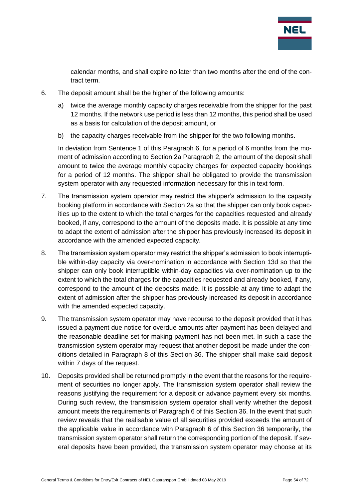

calendar months, and shall expire no later than two months after the end of the contract term.

- 6. The deposit amount shall be the higher of the following amounts:
	- a) twice the average monthly capacity charges receivable from the shipper for the past 12 months. If the network use period is less than 12 months, this period shall be used as a basis for calculation of the deposit amount, or
	- b) the capacity charges receivable from the shipper for the two following months.

In deviation from Sentence 1 of this Paragraph 6, for a period of 6 months from the moment of admission according to Section 2a Paragraph 2, the amount of the deposit shall amount to twice the average monthly capacity charges for expected capacity bookings for a period of 12 months. The shipper shall be obligated to provide the transmission system operator with any requested information necessary for this in text form.

- 7. The transmission system operator may restrict the shipper's admission to the capacity booking platform in accordance with Section 2a so that the shipper can only book capacities up to the extent to which the total charges for the capacities requested and already booked, if any, correspond to the amount of the deposits made. It is possible at any time to adapt the extent of admission after the shipper has previously increased its deposit in accordance with the amended expected capacity.
- 8. The transmission system operator may restrict the shipper's admission to book interruptible within-day capacity via over-nomination in accordance with Section 13d so that the shipper can only book interruptible within-day capacities via over-nomination up to the extent to which the total charges for the capacities requested and already booked, if any, correspond to the amount of the deposits made. It is possible at any time to adapt the extent of admission after the shipper has previously increased its deposit in accordance with the amended expected capacity.
- 9. The transmission system operator may have recourse to the deposit provided that it has issued a payment due notice for overdue amounts after payment has been delayed and the reasonable deadline set for making payment has not been met. In such a case the transmission system operator may request that another deposit be made under the conditions detailed in Paragraph 8 of this Section 36. The shipper shall make said deposit within 7 days of the request.
- 10. Deposits provided shall be returned promptly in the event that the reasons for the requirement of securities no longer apply. The transmission system operator shall review the reasons justifying the requirement for a deposit or advance payment every six months. During such review, the transmission system operator shall verify whether the deposit amount meets the requirements of Paragraph 6 of this Section 36. In the event that such review reveals that the realisable value of all securities provided exceeds the amount of the applicable value in accordance with Paragraph 6 of this Section 36 temporarily, the transmission system operator shall return the corresponding portion of the deposit. If several deposits have been provided, the transmission system operator may choose at its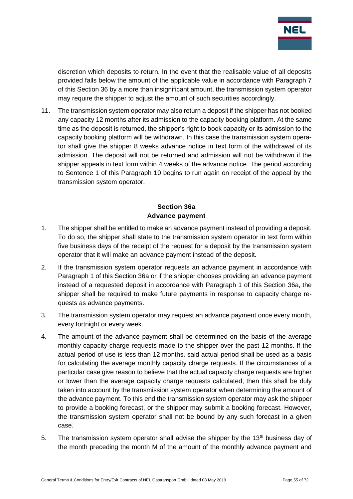

discretion which deposits to return. In the event that the realisable value of all deposits provided falls below the amount of the applicable value in accordance with Paragraph 7 of this Section 36 by a more than insignificant amount, the transmission system operator may require the shipper to adjust the amount of such securities accordingly.

11. The transmission system operator may also return a deposit if the shipper has not booked any capacity 12 months after its admission to the capacity booking platform. At the same time as the deposit is returned, the shipper's right to book capacity or its admission to the capacity booking platform will be withdrawn. In this case the transmission system operator shall give the shipper 8 weeks advance notice in text form of the withdrawal of its admission. The deposit will not be returned and admission will not be withdrawn if the shipper appeals in text form within 4 weeks of the advance notice. The period according to Sentence 1 of this Paragraph 10 begins to run again on receipt of the appeal by the transmission system operator.

## **Section 36a Advance payment**

- 1. The shipper shall be entitled to make an advance payment instead of providing a deposit. To do so, the shipper shall state to the transmission system operator in text form within five business days of the receipt of the request for a deposit by the transmission system operator that it will make an advance payment instead of the deposit.
- 2. If the transmission system operator requests an advance payment in accordance with Paragraph 1 of this Section 36a or if the shipper chooses providing an advance payment instead of a requested deposit in accordance with Paragraph 1 of this Section 36a, the shipper shall be required to make future payments in response to capacity charge requests as advance payments.
- 3. The transmission system operator may request an advance payment once every month, every fortnight or every week.
- 4. The amount of the advance payment shall be determined on the basis of the average monthly capacity charge requests made to the shipper over the past 12 months. If the actual period of use is less than 12 months, said actual period shall be used as a basis for calculating the average monthly capacity charge requests. If the circumstances of a particular case give reason to believe that the actual capacity charge requests are higher or lower than the average capacity charge requests calculated, then this shall be duly taken into account by the transmission system operator when determining the amount of the advance payment. To this end the transmission system operator may ask the shipper to provide a booking forecast, or the shipper may submit a booking forecast. However, the transmission system operator shall not be bound by any such forecast in a given case.
- 5. The transmission system operator shall advise the shipper by the  $13<sup>th</sup>$  business day of the month preceding the month M of the amount of the monthly advance payment and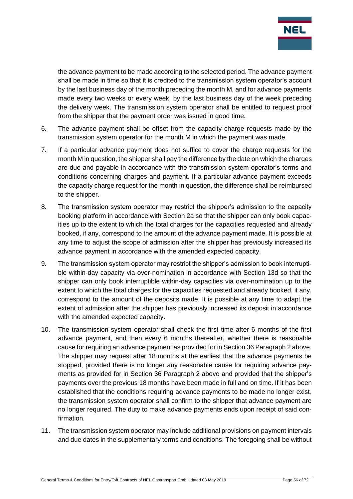

the advance payment to be made according to the selected period. The advance payment shall be made in time so that it is credited to the transmission system operator's account by the last business day of the month preceding the month M, and for advance payments made every two weeks or every week, by the last business day of the week preceding the delivery week. The transmission system operator shall be entitled to request proof from the shipper that the payment order was issued in good time.

- 6. The advance payment shall be offset from the capacity charge requests made by the transmission system operator for the month M in which the payment was made.
- 7. If a particular advance payment does not suffice to cover the charge requests for the month M in question, the shipper shall pay the difference by the date on which the charges are due and payable in accordance with the transmission system operator's terms and conditions concerning charges and payment. If a particular advance payment exceeds the capacity charge request for the month in question, the difference shall be reimbursed to the shipper.
- 8. The transmission system operator may restrict the shipper's admission to the capacity booking platform in accordance with Section 2a so that the shipper can only book capacities up to the extent to which the total charges for the capacities requested and already booked, if any, correspond to the amount of the advance payment made. It is possible at any time to adjust the scope of admission after the shipper has previously increased its advance payment in accordance with the amended expected capacity.
- 9. The transmission system operator may restrict the shipper's admission to book interruptible within-day capacity via over-nomination in accordance with Section 13d so that the shipper can only book interruptible within-day capacities via over-nomination up to the extent to which the total charges for the capacities requested and already booked, if any, correspond to the amount of the deposits made. It is possible at any time to adapt the extent of admission after the shipper has previously increased its deposit in accordance with the amended expected capacity.
- 10. The transmission system operator shall check the first time after 6 months of the first advance payment, and then every 6 months thereafter, whether there is reasonable cause for requiring an advance payment as provided for in Section 36 Paragraph 2 above. The shipper may request after 18 months at the earliest that the advance payments be stopped, provided there is no longer any reasonable cause for requiring advance payments as provided for in Section 36 Paragraph 2 above and provided that the shipper's payments over the previous 18 months have been made in full and on time. If it has been established that the conditions requiring advance payments to be made no longer exist, the transmission system operator shall confirm to the shipper that advance payment are no longer required. The duty to make advance payments ends upon receipt of said confirmation.
- 11. The transmission system operator may include additional provisions on payment intervals and due dates in the supplementary terms and conditions. The foregoing shall be without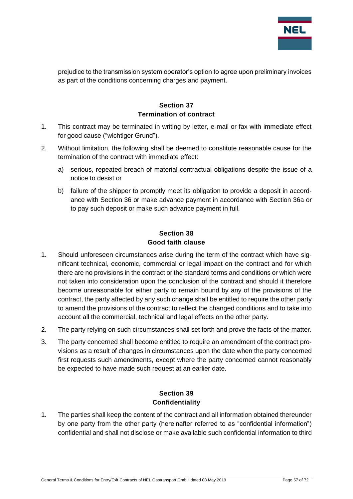

prejudice to the transmission system operator's option to agree upon preliminary invoices as part of the conditions concerning charges and payment.

## **Section 37 Termination of contract**

- 1. This contract may be terminated in writing by letter, e-mail or fax with immediate effect for good cause ("wichtiger Grund").
- 2. Without limitation, the following shall be deemed to constitute reasonable cause for the termination of the contract with immediate effect:
	- a) serious, repeated breach of material contractual obligations despite the issue of a notice to desist or
	- b) failure of the shipper to promptly meet its obligation to provide a deposit in accordance with Section 36 or make advance payment in accordance with Section 36a or to pay such deposit or make such advance payment in full.

## **Section 38 Good faith clause**

- 1. Should unforeseen circumstances arise during the term of the contract which have significant technical, economic, commercial or legal impact on the contract and for which there are no provisions in the contract or the standard terms and conditions or which were not taken into consideration upon the conclusion of the contract and should it therefore become unreasonable for either party to remain bound by any of the provisions of the contract, the party affected by any such change shall be entitled to require the other party to amend the provisions of the contract to reflect the changed conditions and to take into account all the commercial, technical and legal effects on the other party.
- 2. The party relying on such circumstances shall set forth and prove the facts of the matter.
- 3. The party concerned shall become entitled to require an amendment of the contract provisions as a result of changes in circumstances upon the date when the party concerned first requests such amendments, except where the party concerned cannot reasonably be expected to have made such request at an earlier date.

### **Section 39 Confidentiality**

1. The parties shall keep the content of the contract and all information obtained thereunder by one party from the other party (hereinafter referred to as "confidential information") confidential and shall not disclose or make available such confidential information to third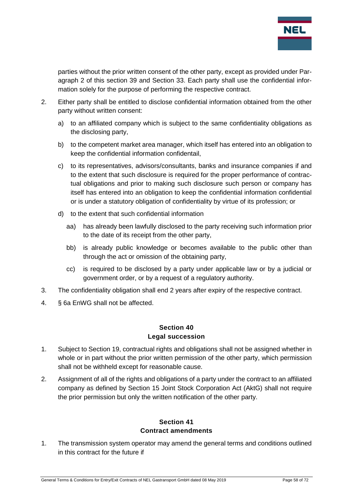

parties without the prior written consent of the other party, except as provided under Paragraph 2 of this section 39 and Section 33. Each party shall use the confidential information solely for the purpose of performing the respective contract.

- 2. Either party shall be entitled to disclose confidential information obtained from the other party without written consent:
	- a) to an affiliated company which is subject to the same confidentiality obligations as the disclosing party,
	- b) to the competent market area manager, which itself has entered into an obligation to keep the confidential information confidentail,
	- c) to its representatives, advisors/consultants, banks and insurance companies if and to the extent that such disclosure is required for the proper performance of contractual obligations and prior to making such disclosure such person or company has itself has entered into an obligation to keep the confidential information confidential or is under a statutory obligation of confidentiality by virtue of its profession; or
	- d) to the extent that such confidential information
		- aa) has already been lawfully disclosed to the party receiving such information prior to the date of its receipt from the other party,
		- bb) is already public knowledge or becomes available to the public other than through the act or omission of the obtaining party,
		- cc) is required to be disclosed by a party under applicable law or by a judicial or government order, or by a request of a regulatory authority.
- 3. The confidentiality obligation shall end 2 years after expiry of the respective contract.
- 4. § 6a EnWG shall not be affected.

#### **Section 40 Legal succession**

- 1. Subject to Section 19, contractual rights and obligations shall not be assigned whether in whole or in part without the prior written permission of the other party, which permission shall not be withheld except for reasonable cause.
- 2. Assignment of all of the rights and obligations of a party under the contract to an affiliated company as defined by Section 15 Joint Stock Corporation Act (AktG) shall not require the prior permission but only the written notification of the other party.

### **Section 41 Contract amendments**

1. The transmission system operator may amend the general terms and conditions outlined in this contract for the future if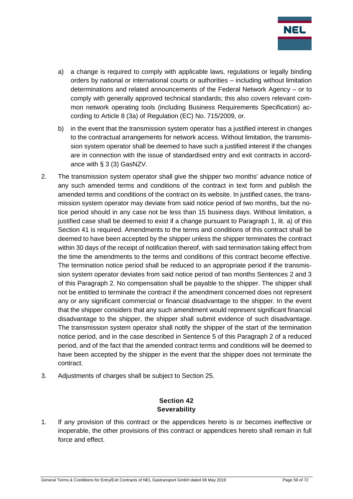

- a) a change is required to comply with applicable laws, regulations or legally binding orders by national or international courts or authorities – including without limitation determinations and related announcements of the Federal Network Agency – or to comply with generally approved technical standards; this also covers relevant common network operating tools (including Business Requirements Specification) according to Article 8 (3a) of Regulation (EC) No. 715/2009, or.
- b) in the event that the transmission system operator has a justified interest in changes to the contractual arrangements for network access. Without limitation, the transmission system operator shall be deemed to have such a justified interest if the changes are in connection with the issue of standardised entry and exit contracts in accordance with § 3 (3) GasNZV.
- 2. The transmission system operator shall give the shipper two months' advance notice of any such amended terms and conditions of the contract in text form and publish the amended terms and conditions of the contract on its website. In justified cases, the transmission system operator may deviate from said notice period of two months, but the notice period should in any case not be less than 15 business days. Without limitation, a justified case shall be deemed to exist if a change pursuant to Paragraph 1, lit. a) of this Section 41 is required. Amendments to the terms and conditions of this contract shall be deemed to have been accepted by the shipper unless the shipper terminates the contract within 30 days of the receipt of notification thereof, with said termination taking effect from the time the amendments to the terms and conditions of this contract become effective. The termination notice period shall be reduced to an appropriate period if the transmission system operator deviates from said notice period of two months Sentences 2 and 3 of this Paragraph 2. No compensation shall be payable to the shipper. The shipper shall not be entitled to terminate the contract if the amendment concerned does not represent any or any significant commercial or financial disadvantage to the shipper. In the event that the shipper considers that any such amendment would represent significant financial disadvantage to the shipper, the shipper shall submit evidence of such disadvantage. The transmission system operator shall notify the shipper of the start of the termination notice period, and in the case described in Sentence 5 of this Paragraph 2 of a reduced period, and of the fact that the amended contract terms and conditions will be deemed to have been accepted by the shipper in the event that the shipper does not terminate the contract.
- 3. Adjustments of charges shall be subject to Section 25.

## **Section 42 Severability**

1. If any provision of this contract or the appendices hereto is or becomes ineffective or inoperable, the other provisions of this contract or appendices hereto shall remain in full force and effect.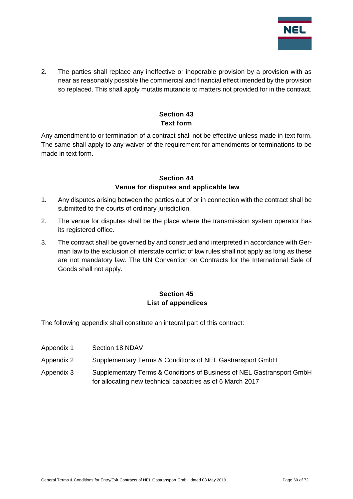

2. The parties shall replace any ineffective or inoperable provision by a provision with as near as reasonably possible the commercial and financial effect intended by the provision so replaced. This shall apply mutatis mutandis to matters not provided for in the contract.

## **Section 43 Text form**

Any amendment to or termination of a contract shall not be effective unless made in text form. The same shall apply to any waiver of the requirement for amendments or terminations to be made in text form.

## **Section 44 Venue for disputes and applicable law**

- 1. Any disputes arising between the parties out of or in connection with the contract shall be submitted to the courts of ordinary jurisdiction.
- 2. The venue for disputes shall be the place where the transmission system operator has its registered office.
- 3. The contract shall be governed by and construed and interpreted in accordance with German law to the exclusion of interstate conflict of law rules shall not apply as long as these are not mandatory law. The UN Convention on Contracts for the International Sale of Goods shall not apply.

## **Section 45 List of appendices**

The following appendix shall constitute an integral part of this contract:

- Appendix 1 Section 18 NDAV
- Appendix 2 Supplementary Terms & Conditions of NEL Gastransport GmbH
- Appendix 3 Supplementary Terms & Conditions of Business of NEL Gastransport GmbH for allocating new technical capacities as of 6 March 2017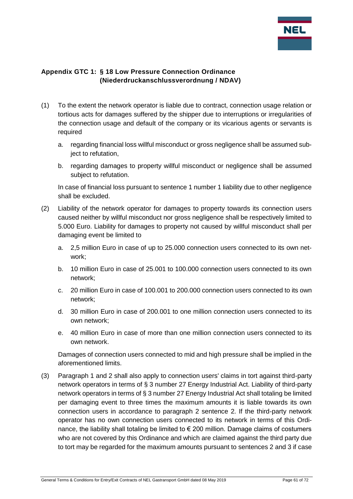

## **Appendix GTC 1: § 18 Low Pressure Connection Ordinance (Niederdruckanschlussverordnung / NDAV)**

- (1) To the extent the network operator is liable due to contract, connection usage relation or tortious acts for damages suffered by the shipper due to interruptions or irregularities of the connection usage and default of the company or its vicarious agents or servants is required
	- a. regarding financial loss willful misconduct or gross negligence shall be assumed subject to refutation,
	- b. regarding damages to property willful misconduct or negligence shall be assumed subject to refutation.

In case of financial loss pursuant to sentence 1 number 1 liability due to other negligence shall be excluded.

- (2) Liability of the network operator for damages to property towards its connection users caused neither by willful misconduct nor gross negligence shall be respectively limited to 5.000 Euro. Liability for damages to property not caused by willful misconduct shall per damaging event be limited to
	- a. 2,5 million Euro in case of up to 25.000 connection users connected to its own network;
	- b. 10 million Euro in case of 25.001 to 100.000 connection users connected to its own network;
	- c. 20 million Euro in case of 100.001 to 200.000 connection users connected to its own network;
	- d. 30 million Euro in case of 200.001 to one million connection users connected to its own network;
	- e. 40 million Euro in case of more than one million connection users connected to its own network.

Damages of connection users connected to mid and high pressure shall be implied in the aforementioned limits.

(3) Paragraph 1 and 2 shall also apply to connection users' claims in tort against third-party network operators in terms of § 3 number 27 Energy Industrial Act. Liability of third-party network operators in terms of § 3 number 27 Energy Industrial Act shall totaling be limited per damaging event to three times the maximum amounts it is liable towards its own connection users in accordance to paragraph 2 sentence 2. If the third-party network operator has no own connection users connected to its network in terms of this Ordinance, the liability shall totaling be limited to  $\epsilon$  200 million. Damage claims of costumers who are not covered by this Ordinance and which are claimed against the third party due to tort may be regarded for the maximum amounts pursuant to sentences 2 and 3 if case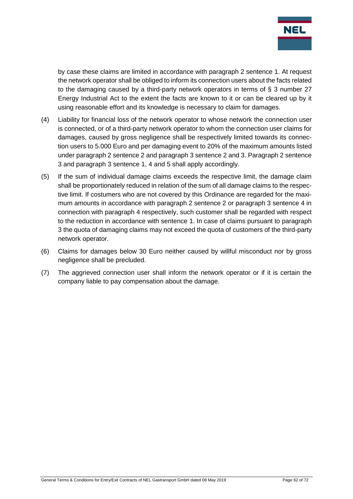

by case these claims are limited in accordance with paragraph 2 sentence 1. At request the network operator shall be obliged to inform its connection users about the facts related to the damaging caused by a third-party network operators in terms of § 3 number 27 Energy Industrial Act to the extent the facts are known to it or can be cleared up by it using reasonable effort and its knowledge is necessary to claim for damages.

- (4) Liability for financial loss of the network operator to whose network the connection user is connected, or of a third-party network operator to whom the connection user claims for damages, caused by gross negligence shall be respectively limited towards its connection users to 5.000 Euro and per damaging event to 20% of the maximum amounts listed under paragraph 2 sentence 2 and paragraph 3 sentence 2 and 3. Paragraph 2 sentence 3 and paragraph 3 sentence 1, 4 and 5 shall apply accordingly.
- (5) If the sum of individual damage claims exceeds the respective limit, the damage claim shall be proportionately reduced in relation of the sum of all damage claims to the respective limit. If costumers who are not covered by this Ordinance are regarded for the maximum amounts in accordance with paragraph 2 sentence 2 or paragraph 3 sentence 4 in connection with paragraph 4 respectively, such customer shall be regarded with respect to the reduction in accordance with sentence 1. In case of claims pursuant to paragraph 3 the quota of damaging claims may not exceed the quota of customers of the third-party network operator.
- (6) Claims for damages below 30 Euro neither caused by willful misconduct nor by gross negligence shall be precluded.
- (7) The aggrieved connection user shall inform the network operator or if it is certain the company liable to pay compensation about the damage.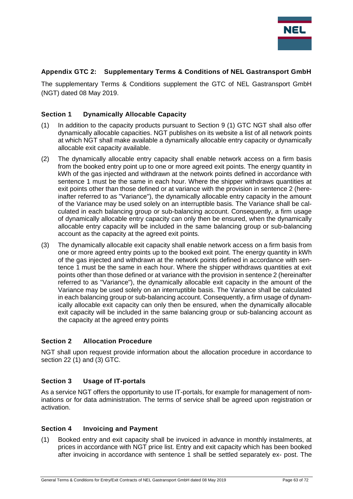

#### **Appendix GTC 2: Supplementary Terms & Conditions of NEL Gastransport GmbH**

The supplementary Terms & Conditions supplement the GTC of NEL Gastransport GmbH (NGT) dated 08 May 2019.

#### **Section 1 Dynamically Allocable Capacity**

- (1) In addition to the capacity products pursuant to Section 9 (1) GTC NGT shall also offer dynamically allocable capacities. NGT publishes on its website a list of all network points at which NGT shall make available a dynamically allocable entry capacity or dynamically allocable exit capacity available.
- (2) The dynamically allocable entry capacity shall enable network access on a firm basis from the booked entry point up to one or more agreed exit points. The energy quantity in kWh of the gas injected and withdrawn at the network points defined in accordance with sentence 1 must be the same in each hour. Where the shipper withdraws quantities at exit points other than those defined or at variance with the provision in sentence 2 (hereinafter referred to as "Variance"), the dynamically allocable entry capacity in the amount of the Variance may be used solely on an interruptible basis. The Variance shall be calculated in each balancing group or sub-balancing account. Consequently, a firm usage of dynamically allocable entry capacity can only then be ensured, when the dynamically allocable entry capacity will be included in the same balancing group or sub-balancing account as the capacity at the agreed exit points.
- (3) The dynamically allocable exit capacity shall enable network access on a firm basis from one or more agreed entry points up to the booked exit point. The energy quantity in kWh of the gas injected and withdrawn at the network points defined in accordance with sentence 1 must be the same in each hour. Where the shipper withdraws quantities at exit points other than those defined or at variance with the provision in sentence 2 (hereinafter referred to as "Variance"), the dynamically allocable exit capacity in the amount of the Variance may be used solely on an interruptible basis. The Variance shall be calculated in each balancing group or sub-balancing account. Consequently, a firm usage of dynamically allocable exit capacity can only then be ensured, when the dynamically allocable exit capacity will be included in the same balancing group or sub-balancing account as the capacity at the agreed entry points

#### **Section 2 Allocation Procedure**

NGT shall upon request provide information about the allocation procedure in accordance to section 22 (1) and (3) GTC.

#### **Section 3 Usage of IT-portals**

As a service NGT offers the opportunity to use IT-portals, for example for management of nominations or for data administration. The terms of service shall be agreed upon registration or activation.

#### **Section 4 Invoicing and Payment**

(1) Booked entry and exit capacity shall be invoiced in advance in monthly instalments, at prices in accordance with NGT price list. Entry and exit capacity which has been booked after invoicing in accordance with sentence 1 shall be settled separately ex- post. The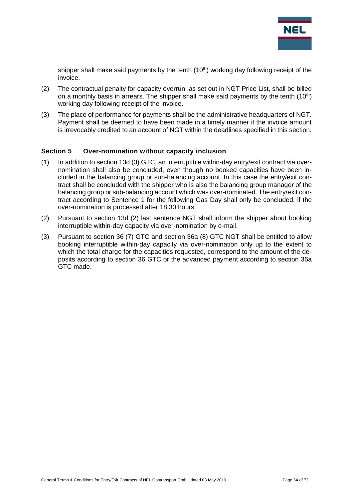

shipper shall make said payments by the tenth  $(10<sup>th</sup>)$  working day following receipt of the invoice.

- (2) The contractual penalty for capacity overrun, as set out in NGT Price List, shall be billed on a monthly basis in arrears. The shipper shall make said payments by the tenth  $(10<sup>th</sup>)$ working day following receipt of the invoice.
- (3) The place of performance for payments shall be the administrative headquarters of NGT. Payment shall be deemed to have been made in a timely manner if the invoice amount is irrevocably credited to an account of NGT within the deadlines specified in this section.

#### **Section 5 Over-nomination without capacity inclusion**

- (1) In addition to section 13d (3) GTC, an interruptible within-day entry/exit contract via overnomination shall also be concluded, even though no booked capacities have been included in the balancing group or sub-balancing account. In this case the entry/exit contract shall be concluded with the shipper who is also the balancing group manager of the balancing group or sub-balancing account which was over-nominated. The entry/exit contract according to Sentence 1 for the following Gas Day shall only be concluded, if the over-nomination is processed after 18:30 hours.
- (2) Pursuant to section 13d (2) last sentence NGT shall inform the shipper about booking interruptible within-day capacity via over-nomination by e-mail.
- (3) Pursuant to section 36 (7) GTC and section 36a (8) GTC NGT shall be entitled to allow booking interruptible within-day capacity via over-nomination only up to the extent to which the total charge for the capacities requested, correspond to the amount of the deposits according to section 36 GTC or the advanced payment according to section 36a GTC made.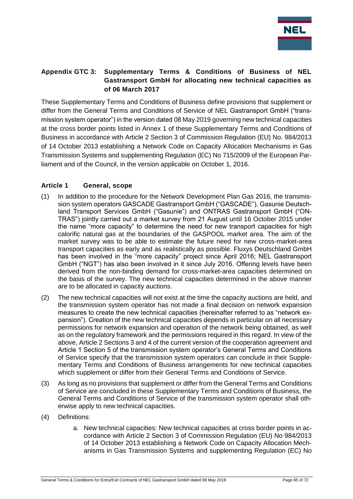

## **Appendix GTC 3: Supplementary Terms & Conditions of Business of NEL Gastransport GmbH for allocating new technical capacities as of 06 March 2017**

These Supplementary Terms and Conditions of Business define provisions that supplement or differ from the General Terms and Conditions of Service of NEL Gastransport GmbH ("transmission system operator") in the version dated 08 May 2019 governing new technical capacities at the cross border points listed in Annex 1 of these Supplementary Terms and Conditions of Business in accordance with Article 2 Section 3 of Commission Regulation (EU) No. 984/2013 of 14 October 2013 establishing a Network Code on Capacity Allocation Mechanisms in Gas Transmission Systems and supplementing Regulation (EC) No 715/2009 of the European Parliament and of the Council, in the version applicable on October 1, 2016.

### **Article 1 General, scope**

- (1) In addition to the procedure for the Network Development Plan Gas 2016, the transmission system operators GASCADE Gastransport GmbH ("GASCADE"), Gasunie Deutschland Transport Services GmbH ("Gasunie") and ONTRAS Gastransport GmbH ("ON-TRAS") jointly carried out a market survey from 21 August until 16 October 2015 under the name "more capacity" to determine the need for new transport capacities for high calorific natural gas at the boundaries of the GASPOOL market area. The aim of the market survey was to be able to estimate the future need for new cross-market-area transport capacities as early and as realistically as possible. Fluxys Deutschland GmbH has been involved in the "more capacity" project since April 2016; NEL Gastransport GmbH ("NGT") has also been involved in it since July 2016. Offering levels have been derived from the non-binding demand for cross-market-area capacities determined on the basis of the survey. The new technical capacities determined in the above manner are to be allocated in capacity auctions.
- (2) The new technical capacities will not exist at the time the capacity auctions are held, and the transmission system operator has not made a final decision on network expansion measures to create the new technical capacities (hereinafter referred to as "network expansion"). Creation of the new technical capacities depends in particular on all necessary permissions for network expansion and operation of the network being obtained, as well as on the regulatory framework and the permissions required in this regard. In view of the above, Article 2 Sections 3 and 4 of the current version of the cooperation agreement and Article 1 Section 5 of the transmission system operator's General Terms and Conditions of Service specify that the transmission system operators can conclude in their Supplementary Terms and Conditions of Business arrangements for new technical capacities which supplement or differ from their General Terms and Conditions of Service.
- (3) As long as no provisions that supplement or differ from the General Terms and Conditions of Service are concluded in these Supplementary Terms and Conditions of Business, the General Terms and Conditions of Service of the transmission system operator shall otherwise apply to new technical capacities.
- (4) Definitions:
	- a. New technical capacities: New technical capacities at cross border points in accordance with Article 2 Section 3 of Commission Regulation (EU) No 984/2013 of 14 October 2013 establishing a Network Code on Capacity Allocation Mechanisms in Gas Transmission Systems and supplementing Regulation (EC) No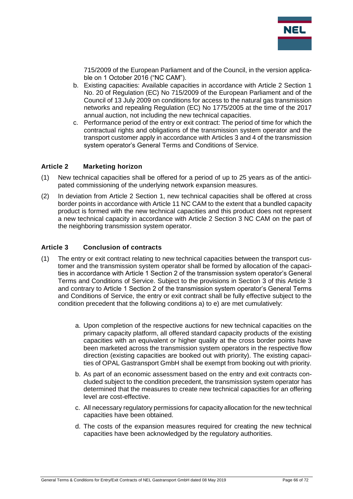

715/2009 of the European Parliament and of the Council, in the version applicable on 1 October 2016 ("NC CAM").

- b. Existing capacities: Available capacities in accordance with Article 2 Section 1 No. 20 of Regulation (EC) No 715/2009 of the European Parliament and of the Council of 13 July 2009 on conditions for access to the natural gas transmission networks and repealing Regulation (EC) No 1775/2005 at the time of the 2017 annual auction, not including the new technical capacities.
- c. Performance period of the entry or exit contract: The period of time for which the contractual rights and obligations of the transmission system operator and the transport customer apply in accordance with Articles 3 and 4 of the transmission system operator's General Terms and Conditions of Service.

#### **Article 2 Marketing horizon**

- (1) New technical capacities shall be offered for a period of up to 25 years as of the anticipated commissioning of the underlying network expansion measures.
- (2) In deviation from Article 2 Section 1, new technical capacities shall be offered at cross border points in accordance with Article 11 NC CAM to the extent that a bundled capacity product is formed with the new technical capacities and this product does not represent a new technical capacity in accordance with Article 2 Section 3 NC CAM on the part of the neighboring transmission system operator.

#### **Article 3 Conclusion of contracts**

- (1) The entry or exit contract relating to new technical capacities between the transport customer and the transmission system operator shall be formed by allocation of the capacities in accordance with Article 1 Section 2 of the transmission system operator's General Terms and Conditions of Service. Subject to the provisions in Section 3 of this Article 3 and contrary to Article 1 Section 2 of the transmission system operator's General Terms and Conditions of Service, the entry or exit contract shall be fully effective subject to the condition precedent that the following conditions a) to e) are met cumulatively:
	- a. Upon completion of the respective auctions for new technical capacities on the primary capacity platform, all offered standard capacity products of the existing capacities with an equivalent or higher quality at the cross border points have been marketed across the transmission system operators in the respective flow direction (existing capacities are booked out with priority). The existing capacities of OPAL Gastransport GmbH shall be exempt from booking out with priority.
	- b. As part of an economic assessment based on the entry and exit contracts concluded subject to the condition precedent, the transmission system operator has determined that the measures to create new technical capacities for an offering level are cost-effective.
	- c. All necessary regulatory permissions for capacity allocation for the new technical capacities have been obtained.
	- d. The costs of the expansion measures required for creating the new technical capacities have been acknowledged by the regulatory authorities.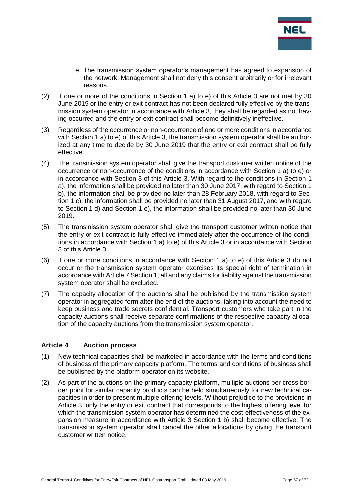

- e. The transmission system operator's management has agreed to expansion of the network. Management shall not deny this consent arbitrarily or for irrelevant reasons.
- (2) If one or more of the conditions in Section 1 a) to e) of this Article 3 are not met by 30 June 2019 or the entry or exit contract has not been declared fully effective by the transmission system operator in accordance with Article 3, they shall be regarded as not having occurred and the entry or exit contract shall become definitively ineffective.
- (3) Regardless of the occurrence or non-occurrence of one or more conditions in accordance with Section 1 a) to e) of this Article 3, the transmission system operator shall be authorized at any time to decide by 30 June 2019 that the entry or exit contract shall be fully effective.
- (4) The transmission system operator shall give the transport customer written notice of the occurrence or non-occurrence of the conditions in accordance with Section 1 a) to e) or in accordance with Section 3 of this Article 3. With regard to the conditions in Section 1 a), the information shall be provided no later than 30 June 2017, with regard to Section 1 b), the information shall be provided no later than 28 February 2018, with regard to Section 1 c), the information shall be provided no later than 31 August 2017, and with regard to Section 1 d) and Section 1 e), the information shall be provided no later than 30 June 2019.
- (5) The transmission system operator shall give the transport customer written notice that the entry or exit contract is fully effective immediately after the occurrence of the conditions in accordance with Section 1 a) to e) of this Article 3 or in accordance with Section 3 of this Article 3.
- (6) If one or more conditions in accordance with Section 1 a) to e) of this Article 3 do not occur or the transmission system operator exercises its special right of termination in accordance with Article 7 Section 1, all and any claims for liability against the transmission system operator shall be excluded.
- (7) The capacity allocation of the auctions shall be published by the transmission system operator in aggregated form after the end of the auctions, taking into account the need to keep business and trade secrets confidential. Transport customers who take part in the capacity auctions shall receive separate confirmations of the respective capacity allocation of the capacity auctions from the transmission system operator.

#### **Article 4 Auction process**

- (1) New technical capacities shall be marketed in accordance with the terms and conditions of business of the primary capacity platform. The terms and conditions of business shall be published by the platform operator on its website.
- (2) As part of the auctions on the primary capacity platform, multiple auctions per cross border point for similar capacity products can be held simultaneously for new technical capacities in order to present multiple offering levels. Without prejudice to the provisions in Article 3, only the entry or exit contract that corresponds to the highest offering level for which the transmission system operator has determined the cost-effectiveness of the expansion measure in accordance with Article 3 Section 1 b) shall become effective. The transmission system operator shall cancel the other allocations by giving the transport customer written notice.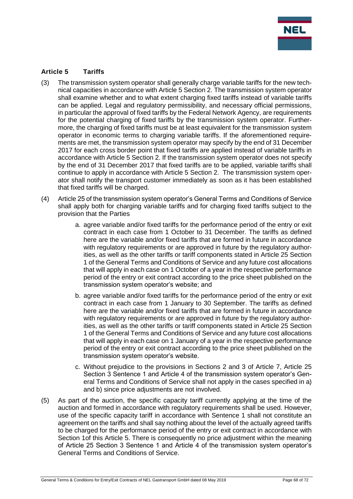

#### **Article 5 Tariffs**

- (3) The transmission system operator shall generally charge variable tariffs for the new technical capacities in accordance with Article 5 Section 2. The transmission system operator shall examine whether and to what extent charging fixed tariffs instead of variable tariffs can be applied. Legal and regulatory permissibility, and necessary official permissions, in particular the approval of fixed tariffs by the Federal Network Agency, are requirements for the potential charging of fixed tariffs by the transmission system operator. Furthermore, the charging of fixed tariffs must be at least equivalent for the transmission system operator in economic terms to charging variable tariffs. If the aforementioned requirements are met, the transmission system operator may specify by the end of 31 December 2017 for each cross border point that fixed tariffs are applied instead of variable tariffs in accordance with Article 5 Section 2. If the transmission system operator does not specify by the end of 31 December 2017 that fixed tariffs are to be applied, variable tariffs shall continue to apply in accordance with Article 5 Section 2. The transmission system operator shall notify the transport customer immediately as soon as it has been established that fixed tariffs will be charged.
- (4) Article 25 of the transmission system operator's General Terms and Conditions of Service shall apply both for charging variable tariffs and for charging fixed tariffs subject to the provision that the Parties
	- a. agree variable and/or fixed tariffs for the performance period of the entry or exit contract in each case from 1 October to 31 December. The tariffs as defined here are the variable and/or fixed tariffs that are formed in future in accordance with regulatory requirements or are approved in future by the regulatory authorities, as well as the other tariffs or tariff components stated in Article 25 Section 1 of the General Terms and Conditions of Service and any future cost allocations that will apply in each case on 1 October of a year in the respective performance period of the entry or exit contract according to the price sheet published on the transmission system operator's website; and
	- b. agree variable and/or fixed tariffs for the performance period of the entry or exit contract in each case from 1 January to 30 September. The tariffs as defined here are the variable and/or fixed tariffs that are formed in future in accordance with regulatory requirements or are approved in future by the regulatory authorities, as well as the other tariffs or tariff components stated in Article 25 Section 1 of the General Terms and Conditions of Service and any future cost allocations that will apply in each case on 1 January of a year in the respective performance period of the entry or exit contract according to the price sheet published on the transmission system operator's website.
	- c. Without prejudice to the provisions in Sections 2 and 3 of Article 7, Article 25 Section 3 Sentence 1 and Article 4 of the transmission system operator's General Terms and Conditions of Service shall not apply in the cases specified in a) and b) since price adjustments are not involved.
- (5) As part of the auction, the specific capacity tariff currently applying at the time of the auction and formed in accordance with regulatory requirements shall be used. However, use of the specific capacity tariff in accordance with Sentence 1 shall not constitute an agreement on the tariffs and shall say nothing about the level of the actually agreed tariffs to be charged for the performance period of the entry or exit contract in accordance with Section 1of this Article 5. There is consequently no price adjustment within the meaning of Article 25 Section 3 Sentence 1 and Article 4 of the transmission system operator's General Terms and Conditions of Service.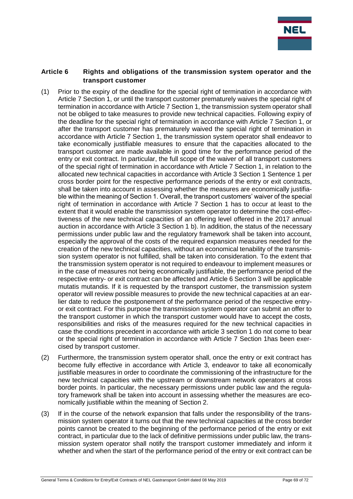

#### **Article 6 Rights and obligations of the transmission system operator and the transport customer**

- (1) Prior to the expiry of the deadline for the special right of termination in accordance with Article 7 Section 1, or until the transport customer prematurely waives the special right of termination in accordance with Article 7 Section 1, the transmission system operator shall not be obliged to take measures to provide new technical capacities. Following expiry of the deadline for the special right of termination in accordance with Article 7 Section 1, or after the transport customer has prematurely waived the special right of termination in accordance with Article 7 Section 1, the transmission system operator shall endeavor to take economically justifiable measures to ensure that the capacities allocated to the transport customer are made available in good time for the performance period of the entry or exit contract. In particular, the full scope of the waiver of all transport customers of the special right of termination in accordance with Article 7 Section 1, in relation to the allocated new technical capacities in accordance with Article 3 Section 1 Sentence 1 per cross border point for the respective performance periods of the entry or exit contracts, shall be taken into account in assessing whether the measures are economically justifiable within the meaning of Section 1. Overall, the transport customers' waiver of the special right of termination in accordance with Article 7 Section 1 has to occur at least to the extent that it would enable the transmission system operator to determine the cost-effectiveness of the new technical capacities of an offering level offered in the 2017 annual auction in accordance with Article 3 Section 1 b). In addition, the status of the necessary permissions under public law and the regulatory framework shall be taken into account, especially the approval of the costs of the required expansion measures needed for the creation of the new technical capacities, without an economical tenability of the transmission system operator is not fulfilled, shall be taken into consideration. To the extent that the transmission system operator is not required to endeavour to implement measures or in the case of measures not being economically justifiable, the performance period of the respective entry- or exit contract can be affected and Article 6 Section 3 will be applicable mutatis mutandis. If it is requested by the transport customer, the transmission system operator will review possible measures to provide the new technical capacities at an earlier date to reduce the postponement of the performance period of the respective entryor exit contract. For this purpose the transmission system operator can submit an offer to the transport customer in which the transport customer would have to accept the costs, responsibilities and risks of the measures required for the new technical capacities in case the conditions precedent in accordance with article 3 section 1 do not come to bear or the special right of termination in accordance with Article 7 Section 1has been exercised by transport customer.
- (2) Furthermore, the transmission system operator shall, once the entry or exit contract has become fully effective in accordance with Article 3, endeavor to take all economically justifiable measures in order to coordinate the commissioning of the infrastructure for the new technical capacities with the upstream or downstream network operators at cross border points. In particular, the necessary permissions under public law and the regulatory framework shall be taken into account in assessing whether the measures are economically justifiable within the meaning of Section 2.
- (3) If in the course of the network expansion that falls under the responsibility of the transmission system operator it turns out that the new technical capacities at the cross border points cannot be created to the beginning of the performance period of the entry or exit contract, in particular due to the lack of definitive permissions under public law, the transmission system operator shall notify the transport customer immediately and inform it whether and when the start of the performance period of the entry or exit contract can be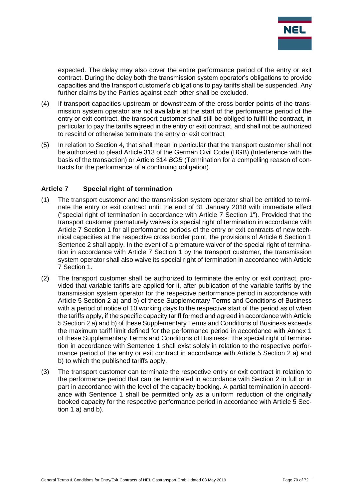

expected. The delay may also cover the entire performance period of the entry or exit contract. During the delay both the transmission system operator's obligations to provide capacities and the transport customer's obligations to pay tariffs shall be suspended. Any further claims by the Parties against each other shall be excluded.

- (4) If transport capacities upstream or downstream of the cross border points of the transmission system operator are not available at the start of the performance period of the entry or exit contract, the transport customer shall still be obliged to fulfill the contract, in particular to pay the tariffs agreed in the entry or exit contract, and shall not be authorized to rescind or otherwise terminate the entry or exit contract
- (5) In relation to Section 4, that shall mean in particular that the transport customer shall not be authorized to plead Article 313 of the German Civil Code (BGB) (Interference with the basis of the transaction) or Article 314 *BGB* (Termination for a compelling reason of contracts for the performance of a continuing obligation).

### **Article 7 Special right of termination**

- (1) The transport customer and the transmission system operator shall be entitled to terminate the entry or exit contract until the end of 31 January 2018 with immediate effect ("special right of termination in accordance with Article 7 Section 1"). Provided that the transport customer prematurely waives its special right of termination in accordance with Article 7 Section 1 for all performance periods of the entry or exit contracts of new technical capacities at the respective cross border point, the provisions of Article 6 Section 1 Sentence 2 shall apply. In the event of a premature waiver of the special right of termination in accordance with Article 7 Section 1 by the transport customer, the transmission system operator shall also waive its special right of termination in accordance with Article 7 Section 1.
- (2) The transport customer shall be authorized to terminate the entry or exit contract, provided that variable tariffs are applied for it, after publication of the variable tariffs by the transmission system operator for the respective performance period in accordance with Article 5 Section 2 a) and b) of these Supplementary Terms and Conditions of Business with a period of notice of 10 working days to the respective start of the period as of when the tariffs apply, if the specific capacity tariff formed and agreed in accordance with Article 5 Section 2 a) and b) of these Supplementary Terms and Conditions of Business exceeds the maximum tariff limit defined for the performance period in accordance with Annex 1 of these Supplementary Terms and Conditions of Business. The special right of termination in accordance with Sentence 1 shall exist solely in relation to the respective performance period of the entry or exit contract in accordance with Article 5 Section 2 a) and b) to which the published tariffs apply.
- (3) The transport customer can terminate the respective entry or exit contract in relation to the performance period that can be terminated in accordance with Section 2 in full or in part in accordance with the level of the capacity booking. A partial termination in accordance with Sentence 1 shall be permitted only as a uniform reduction of the originally booked capacity for the respective performance period in accordance with Article 5 Section 1 a) and b).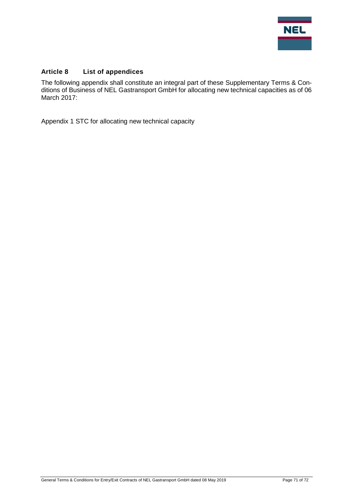

## **Article 8 List of appendices**

The following appendix shall constitute an integral part of these Supplementary Terms & Conditions of Business of NEL Gastransport GmbH for allocating new technical capacities as of 06 March 2017:

Appendix 1 STC for allocating new technical capacity